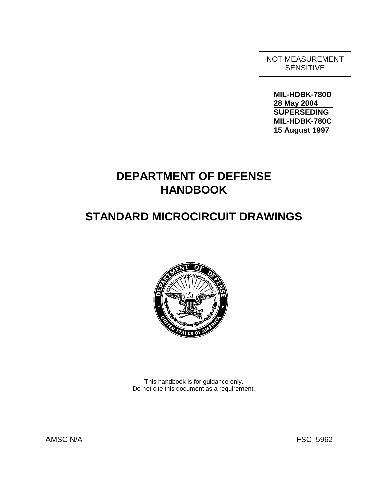NOT MEASUREMENT SENSITIVE

**MIL-HDBK-780D 28 May 2004 SUPERSEDING MIL-HDBK-780C 15 August 1997** 

# **DEPARTMENT OF DEFENSE HANDBOOK**

# **STANDARD MICROCIRCUIT DRAWINGS**



This handbook is for guidance only. Do not cite this document as a requirement.

AMSC N/A FSC 5962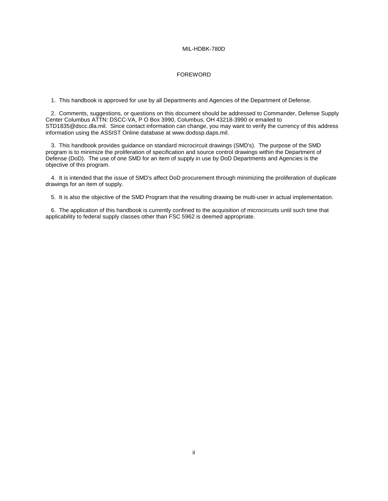## FOREWORD

1. This handbook is approved for use by all Departments and Agencies of the Department of Defense.

2. Comments, suggestions, or questions on this document should be addressed to Commander, Defense Supply Center Columbus ATTN: DSCC-VA, P O Box 3990, Columbus, OH 43218-3990 or emailed to STD1835@dscc.dla.mil. Since contact information can change, you may want to verify the currency of this address information using the ASSIST Online database at www.dodssp.daps.mil.

3. This handbook provides guidance on standard microcircuit drawings (SMD's). The purpose of the SMD program is to minimize the proliferation of specification and source control drawings within the Department of Defense (DoD). The use of one SMD for an item of supply in use by DoD Departments and Agencies is the objective of this program.

4. It is intended that the issue of SMD's affect DoD procurement through minimizing the proliferation of duplicate drawings for an item of supply.

5. It is also the objective of the SMD Program that the resulting drawing be multi-user in actual implementation.

6. The application of this handbook is currently confined to the acquisition of microcircuits until such time that applicability to federal supply classes other than FSC 5962 is deemed appropriate.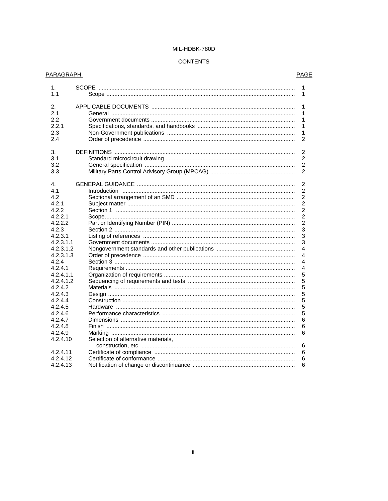# **CONTENTS**

| PARAGRAPH                                                             | PAGE                                                    |
|-----------------------------------------------------------------------|---------------------------------------------------------|
| 1.<br>1.1                                                             | 1<br>1                                                  |
| 2.<br>2.1<br>2.2<br>2.2.1<br>2.3<br>2.4                               | 1<br>1<br>1<br>1<br>1<br>2                              |
| 3.<br>3.1<br>3.2<br>3.3                                               | $\overline{2}$<br>$\overline{2}$<br>2<br>$\overline{2}$ |
| 4.<br>4.1<br>4.2                                                      | $\overline{2}$<br>$\overline{2}$<br>2                   |
| 4.2.1<br>4.2.2<br>4.2.2.1                                             | $\overline{2}$<br>$\overline{2}$<br>$\overline{2}$      |
| 4.2.2.2<br>4.2.3<br>4.2.3.1                                           | $\overline{2}$<br>3<br>3                                |
| 4.2.3.1.1<br>4.2.3.1.2<br>4.2.3.1.3                                   | 3<br>4<br>4                                             |
| 4.2.4<br>4.2.4.1<br>4.2.4.1.1                                         | 4<br>4<br>5                                             |
| 4.2.4.1.2<br>4.2.4.2<br>4.2.4.3<br>4.2.4.4                            | 5<br>5<br>5<br>5                                        |
| 4.2.4.5<br>4.2.4.6<br>4.2.4.7                                         | 5<br>5<br>6                                             |
| 4.2.4.8<br>4.2.4.9<br>4.2.4.10<br>Selection of alternative materials, | 6<br>6                                                  |
| 4.2.4.11<br>4.2.4.12<br>4.2.4.13                                      | 6<br>6<br>6<br>6                                        |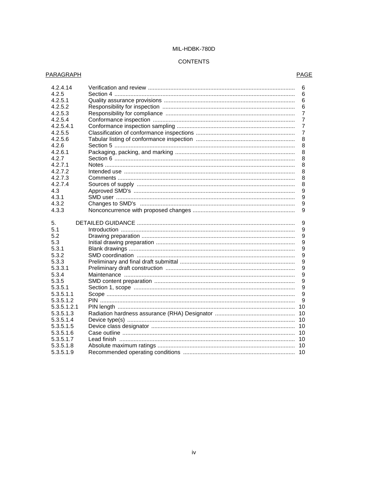# **CONTENTS**

# **PARAGRAPH**

# **PAGE**

| 4.2.4.14    | 6              |
|-------------|----------------|
| 4.2.5       | 6              |
| 4.2.5.1     | 6              |
| 4.2.5.2     | 6              |
| 4.2.5.3     | 7              |
| 4.2.5.4     | $\overline{7}$ |
| 4.2.5.4.1   | 7              |
| 4.2.5.5     | 7              |
| 4.2.5.6     | 8              |
| 4.2.6       | 8              |
| 4.2.6.1     | 8              |
| 4.2.7       | 8              |
| 4.2.7.1     | 8              |
| 4.2.7.2     | 8              |
| 4.2.7.3     | 8              |
| 4.2.7.4     | 8              |
| 4.3         | 9              |
| 4.3.1       | 9              |
| 4.3.2       | 9              |
| 4.3.3       | 9              |
|             |                |
| 5.          | 9              |
| 5.1         | 9              |
| 5.2         | 9              |
| 5.3         | 9              |
| 5.3.1       | 9              |
| 5.3.2       | 9              |
| 5.3.3       | 9              |
| 5.3.3.1     | 9              |
| 5.3.4       | 9              |
| 5.3.5       | 9              |
| 5.3.5.1     | 9              |
| 5.3.5.1.1   | 9              |
| 5.3.5.1.2   | 9              |
| 5.3.5.1.2.1 | 10             |
| 5.3.5.1.3   | 10             |
| 5.3.5.1.4   | 10             |
| 5.3.5.1.5   | 10             |
| 5.3.5.1.6   | 10             |
| 5.3.5.1.7   | 10             |
| 5.3.5.1.8   |                |
|             |                |
| 5.3.5.1.9   |                |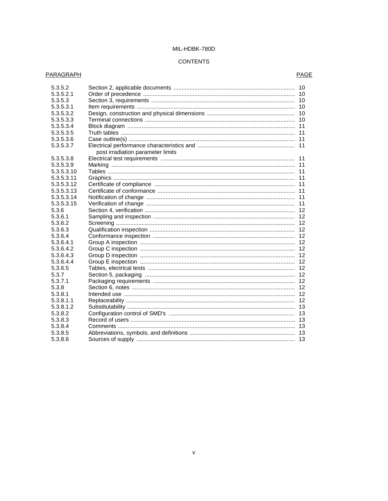# **CONTENTS**

# **PARAGRAPH**

# **PAGE**

| 5.3.5.2<br>5.3.5.2.1<br>5.3.5.3<br>5.3.5.3.1<br>5.3.5.3.2<br>5.3.5.3.3<br>5.3.5.3.4 |                                   | 11 |
|-------------------------------------------------------------------------------------|-----------------------------------|----|
| 5.3.5.3.5                                                                           |                                   |    |
| 5.3.5.3.6                                                                           |                                   | 11 |
| 5.3.5.3.7                                                                           |                                   |    |
|                                                                                     | post irradiation parameter limits |    |
| 5.3.5.3.8                                                                           |                                   |    |
| 5.3.5.3.9                                                                           |                                   | 11 |
| 5.3.5.3.10                                                                          |                                   | 11 |
| 5.3.5.3.11                                                                          |                                   | 11 |
| 5.3.5.3.12                                                                          |                                   |    |
| 5.3.5.3.13                                                                          |                                   |    |
| 5.3.5.3.14                                                                          |                                   |    |
| 5.3.5.3.15                                                                          |                                   |    |
| 5.3.6                                                                               |                                   |    |
| 5.3.6.1                                                                             |                                   |    |
| 5.3.6.2                                                                             |                                   | 12 |
| 5.3.6.3                                                                             |                                   |    |
| 5.3.6.4                                                                             |                                   |    |
| 5.3.6.4.1                                                                           |                                   |    |
| 5.3.6.4.2                                                                           |                                   |    |
| 5.3.6.4.3                                                                           |                                   |    |
| 5.3.6.4.4                                                                           |                                   |    |
| 5.3.6.5                                                                             |                                   | 12 |
| 5.3.7                                                                               |                                   |    |
| 5.3.7.1                                                                             |                                   |    |
| 5.3.8                                                                               |                                   |    |
| 5.3.8.1                                                                             |                                   |    |
| 5.3.8.1.1                                                                           |                                   | 12 |
| 5.3.8.1.2                                                                           |                                   | 13 |
| 5.3.8.2                                                                             |                                   |    |
| 5.3.8.3                                                                             |                                   |    |
| 5.3.8.4                                                                             |                                   |    |
| 5.3.8.5                                                                             |                                   |    |
| 5.3.8.6                                                                             |                                   |    |
|                                                                                     |                                   |    |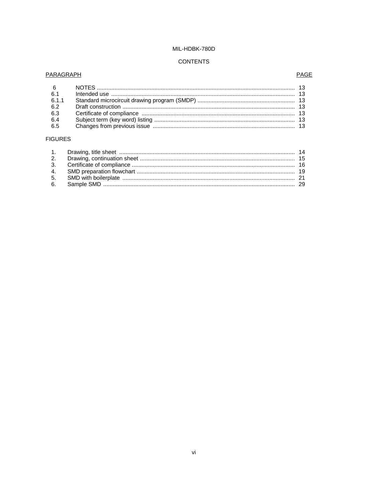# **CONTENTS**

# **PARAGRAPH**

# PAGE

| 6.1   |  |
|-------|--|
| 6.1.1 |  |
| 6.2   |  |
| 6.3   |  |
| 6.4   |  |
| 6.5   |  |

# **FIGURES**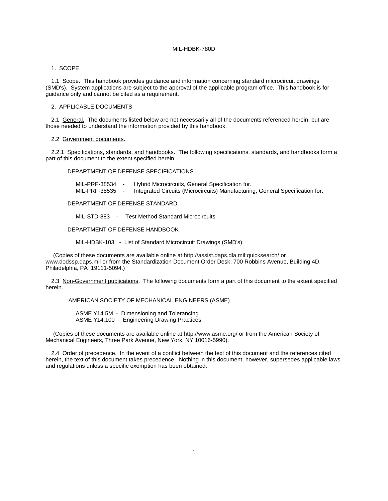#### 1. SCOPE

1.1 Scope. This handbook provides guidance and information concerning standard microcircuit drawings (SMD's). System applications are subject to the approval of the applicable program office. This handbook is for guidance only and cannot be cited as a requirement.

## 2. APPLICABLE DOCUMENTS

2.1 General. The documents listed below are not necessarily all of the documents referenced herein, but are those needed to understand the information provided by this handbook.

## 2.2 Government documents.

2.2.1 Specifications, standards, and handbooks. The following specifications, standards, and handbooks form a part of this document to the extent specified herein.

# DEPARTMENT OF DEFENSE SPECIFICATIONS

MIL-PRF-38534 - Hybrid Microcircuits, General Specification for. Integrated Circuits (Microcircuits) Manufacturing, General Specification for.

#### DEPARTMENT OF DEFENSE STANDARD

MIL-STD-883 - Test Method Standard Microcircuits

## DEPARTMENT OF DEFENSE HANDBOOK

MIL-HDBK-103 - List of Standard Microcircuit Drawings (SMD's)

(Copies of these documents are available online at http://assist.daps.dla.mil;quicksearch/ or www.dodssp.daps.mil or from the Standardization Document Order Desk, 700 Robbins Avenue, Building 4D, Philadelphia, PA 19111-5094.)

2.3 Non-Government publications. The following documents form a part of this document to the extent specified herein.

#### AMERICAN SOCIETY OF MECHANICAL ENGINEERS (ASME)

 ASME Y14.5M - Dimensioning and Tolerancing ASME Y14.100 - Engineering Drawing Practices

(Copies of these documents are available online at http://www.asme.org/ or from the American Society of Mechanical Engineers, Three Park Avenue, New York, NY 10016-5990).

 2.4 Order of precedence. In the event of a conflict between the text of this document and the references cited herein, the text of this document takes precedence. Nothing in this document, however, supersedes applicable laws and regulations unless a specific exemption has been obtained.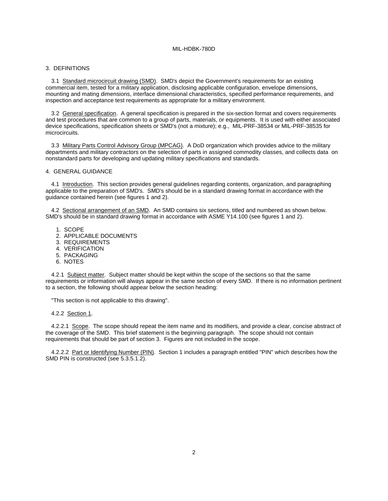#### 3. DEFINITIONS

3.1 Standard microcircuit drawing (SMD). SMD's depict the Government's requirements for an existing commercial item, tested for a military application, disclosing applicable configuration, envelope dimensions, mounting and mating dimensions, interface dimensional characteristics, specified performance requirements, and inspection and acceptance test requirements as appropriate for a military environment.

3.2 General specification. A general specification is prepared in the six-section format and covers requirements and test procedures that are common to a group of parts, materials, or equipments. It is used with either associated device specifications, specification sheets or SMD's (not a mixture); e.g., MIL-PRF-38534 or MIL-PRF-38535 for microcircuits.

3.3 Military Parts Control Advisory Group (MPCAG). A DoD organization which provides advice to the military departments and military contractors on the selection of parts in assigned commodity classes, and collects data on nonstandard parts for developing and updating military specifications and standards.

# 4. GENERAL GUIDANCE

4.1 Introduction. This section provides general guidelines regarding contents, organization, and paragraphing applicable to the preparation of SMD's. SMD's should be in a standard drawing format in accordance with the guidance contained herein (see figures 1 and 2).

4.2 Sectional arrangement of an SMD. An SMD contains six sections, titled and numbered as shown below. SMD's should be in standard drawing format in accordance with ASME Y14.100 (see figures 1 and 2).

- 1. SCOPE
- 2. APPLICABLE DOCUMENTS
- 3. REQUIREMENTS
- 4. VERIFICATION
- 5. PACKAGING
- 6. NOTES

4.2.1 Subject matter. Subject matter should be kept within the scope of the sections so that the same requirements or information will always appear in the same section of every SMD. If there is no information pertinent to a section, the following should appear below the section heading:

"This section is not applicable to this drawing".

4.2.2 Section 1.

4.2.2.1 Scope. The scope should repeat the item name and its modifiers, and provide a clear, concise abstract of the coverage of the SMD. This brief statement is the beginning paragraph. The scope should not contain requirements that should be part of section 3. Figures are not included in the scope.

4.2.2.2 Part or Identifying Number (PIN). Section 1 includes a paragraph entitled "PIN" which describes how the SMD PIN is constructed (see 5.3.5.1.2).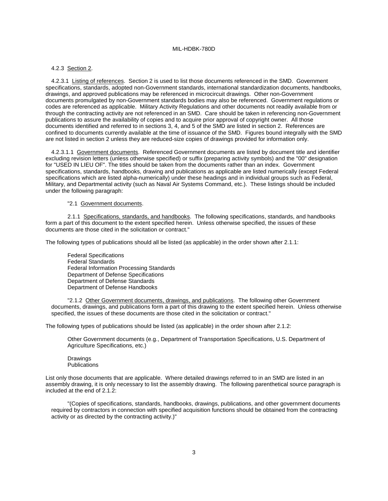#### 4.2.3 Section 2.

4.2.3.1 Listing of references. Section 2 is used to list those documents referenced in the SMD. Government specifications, standards, adopted non-Government standards, international standardization documents, handbooks, drawings, and approved publications may be referenced in microcircuit drawings. Other non-Government documents promulgated by non-Government standards bodies may also be referenced. Government regulations or codes are referenced as applicable. Military Activity Regulations and other documents not readily available from or through the contracting activity are not referenced in an SMD. Care should be taken in referencing non-Government publications to assure the availability of copies and to acquire prior approval of copyright owner. All those documents identified and referred to in sections 3, 4, and 5 of the SMD are listed in section 2. References are confined to documents currently available at the time of issuance of the SMD. Figures bound integrally with the SMD are not listed in section 2 unless they are reduced-size copies of drawings provided for information only.

4.2.3.1.1 Government documents. Referenced Government documents are listed by document title and identifier excluding revision letters (unless otherwise specified) or suffix (preparing activity symbols) and the "00" designation for "USED IN LIEU OF". The titles should be taken from the documents rather than an index. Government specifications, standards, handbooks, drawing and publications as applicable are listed numerically (except Federal specifications which are listed alpha-numerically) under these headings and in individual groups such as Federal, Military, and Departmental activity (such as Naval Air Systems Command, etc.). These listings should be included under the following paragraph:

#### "2.1 Government documents.

2.1.1 Specifications, standards, and handbooks. The following specifications, standards, and handbooks form a part of this document to the extent specified herein. Unless otherwise specified, the issues of these documents are those cited in the solicitation or contract."

The following types of publications should all be listed (as applicable) in the order shown after 2.1.1:

 Federal Specifications Federal Standards Federal Information Processing Standards Department of Defense Specifications Department of Defense Standards Department of Defense Handbooks

"2.1.2 Other Government documents, drawings, and publications. The following other Government documents, drawings, and publications form a part of this drawing to the extent specified herein. Unless otherwise specified, the issues of these documents are those cited in the solicitation or contract."

The following types of publications should be listed (as applicable) in the order shown after 2.1.2:

Other Government documents (e.g., Department of Transportation Specifications, U.S. Department of Agriculture Specifications, etc.)

 Drawings Publications

List only those documents that are applicable. Where detailed drawings referred to in an SMD are listed in an assembly drawing, it is only necessary to list the assembly drawing. The following parenthetical source paragraph is included at the end of 2.1.2:

"(Copies of specifications, standards, handbooks, drawings, publications, and other government documents required by contractors in connection with specified acquisition functions should be obtained from the contracting activity or as directed by the contracting activity.)"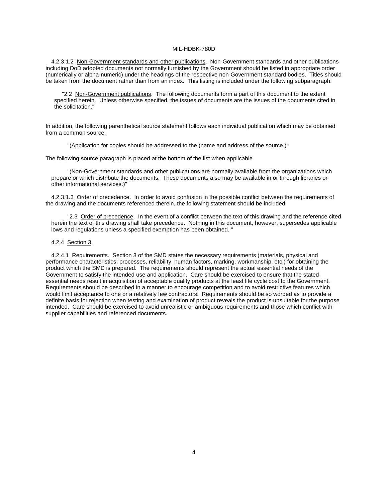4.2.3.1.2 Non-Government standards and other publications. Non-Government standards and other publications including DoD adopted documents not normally furnished by the Government should be listed in appropriate order (numerically or alpha-numeric) under the headings of the respective non-Government standard bodies. Titles should be taken from the document rather than from an index. This listing is included under the following subparagraph.

 "2.2 Non-Government publications. The following documents form a part of this document to the extent specified herein. Unless otherwise specified, the issues of documents are the issues of the documents cited in the solicitation."

In addition, the following parenthetical source statement follows each individual publication which may be obtained from a common source:

"(Application for copies should be addressed to the (name and address of the source.)"

The following source paragraph is placed at the bottom of the list when applicable.

"(Non-Government standards and other publications are normally available from the organizations which prepare or which distribute the documents. These documents also may be available in or through libraries or other informational services.)"

4.2.3.1.3 Order of precedence. In order to avoid confusion in the possible conflict between the requirements of the drawing and the documents referenced therein, the following statement should be included:

"2.3 Order of precedence. In the event of a conflict between the text of this drawing and the reference cited herein the text of this drawing shall take precedence. Nothing in this document, however, supersedes applicable lows and regulations unless a specified exemption has been obtained. "

#### 4.2.4 Section 3.

4.2.4.1 Requirements. Section 3 of the SMD states the necessary requirements (materials, physical and performance characteristics, processes, reliability, human factors, marking, workmanship, etc.) for obtaining the product which the SMD is prepared. The requirements should represent the actual essential needs of the Government to satisfy the intended use and application. Care should be exercised to ensure that the stated essential needs result in acquisition of acceptable quality products at the least life cycle cost to the Government. Requirements should be described in a manner to encourage competition and to avoid restrictive features which would limit acceptance to one or a relatively few contractors. Requirements should be so worded as to provide a definite basis for rejection when testing and examination of product reveals the product is unsuitable for the purpose intended. Care should be exercised to avoid unrealistic or ambiguous requirements and those which conflict with supplier capabilities and referenced documents.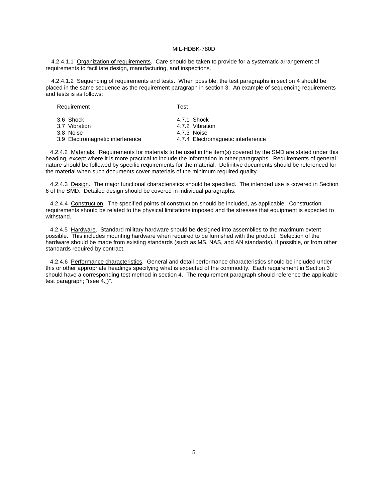4.2.4.1.1 Organization of requirements. Care should be taken to provide for a systematic arrangement of requirements to facilitate design, manufacturing, and inspections.

4.2.4.1.2 Sequencing of requirements and tests. When possible, the test paragraphs in section 4 should be placed in the same sequence as the requirement paragraph in section 3. An example of sequencing requirements and tests is as follows:

| <b>INGYULIGITIGITE</b>                  | . 631                                         |
|-----------------------------------------|-----------------------------------------------|
| 3.6 Shock<br>3.7 Vibration<br>3.8 Noise | 4.7.1 Shock<br>4.7.2 Vibration<br>4.7.3 Noise |
| 3.9 Electromagnetic interference        | 4.7.4 Electromagnetic interference            |
|                                         |                                               |

Pequirement Test

4.2.4.2 Materials. Requirements for materials to be used in the item(s) covered by the SMD are stated under this heading, except where it is more practical to include the information in other paragraphs. Requirements of general nature should be followed by specific requirements for the material. Definitive documents should be referenced for the material when such documents cover materials of the minimum required quality.

4.2.4.3 Design. The major functional characteristics should be specified. The intended use is covered in Section 6 of the SMD. Detailed design should be covered in individual paragraphs.

4.2.4.4 Construction. The specified points of construction should be included, as applicable. Construction requirements should be related to the physical limitations imposed and the stresses that equipment is expected to withstand.

4.2.4.5 Hardware. Standard military hardware should be designed into assemblies to the maximum extent possible. This includes mounting hardware when required to be furnished with the product. Selection of the hardware should be made from existing standards (such as MS, NAS, and AN standards), if possible, or from other standards required by contract.

4.2.4.6 Performance characteristics. General and detail performance characteristics should be included under this or other appropriate headings specifying what is expected of the commodity. Each requirement in Section 3 should have a corresponding test method in section 4. The requirement paragraph should reference the applicable test paragraph; "(see 4. )".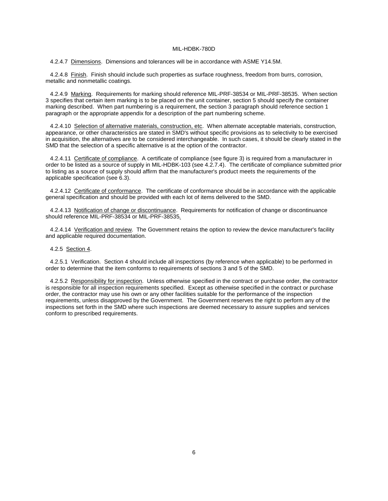4.2.4.7 Dimensions. Dimensions and tolerances will be in accordance with ASME Y14.5M.

4.2.4.8 Finish. Finish should include such properties as surface roughness, freedom from burrs, corrosion, metallic and nonmetallic coatings.

4.2.4.9 Marking. Requirements for marking should reference MIL-PRF-38534 or MIL-PRF-38535. When section 3 specifies that certain item marking is to be placed on the unit container, section 5 should specify the container marking described. When part numbering is a requirement, the section 3 paragraph should reference section 1 paragraph or the appropriate appendix for a description of the part numbering scheme.

4.2.4.10 Selection of alternative materials, construction, etc. When alternate acceptable materials, construction, appearance, or other characteristics are stated in SMD's without specific provisions as to selectivity to be exercised in acquisition, the alternatives are to be considered interchangeable. In such cases, it should be clearly stated in the SMD that the selection of a specific alternative is at the option of the contractor.

4.2.4.11 Certificate of compliance. A certificate of compliance (see figure 3) is required from a manufacturer in order to be listed as a source of supply in MIL-HDBK-103 (see 4.2.7.4). The certificate of compliance submitted prior to listing as a source of supply should affirm that the manufacturer's product meets the requirements of the applicable specification (see 6.3).

4.2.4.12 Certificate of conformance. The certificate of conformance should be in accordance with the applicable general specification and should be provided with each lot of items delivered to the SMD.

4.2.4.13 Notification of change or discontinuance. Requirements for notification of change or discontinuance should reference MIL-PRF-38534 or MIL-PRF-38535*.*

4.2.4.14 Verification and review. The Government retains the option to review the device manufacturer's facility and applicable required documentation.

## 4.2.5 Section 4.

4.2.5.1 Verification. Section 4 should include all inspections (by reference when applicable) to be performed in order to determine that the item conforms to requirements of sections 3 and 5 of the SMD.

4.2.5.2 Responsibility for inspection. Unless otherwise specified in the contract or purchase order, the contractor is responsible for all inspection requirements specified. Except as otherwise specified in the contract or purchase order, the contractor may use his own or any other facilities suitable for the performance of the inspection requirements, unless disapproved by the Government. The Government reserves the right to perform any of the inspections set forth in the SMD where such inspections are deemed necessary to assure supplies and services conform to prescribed requirements.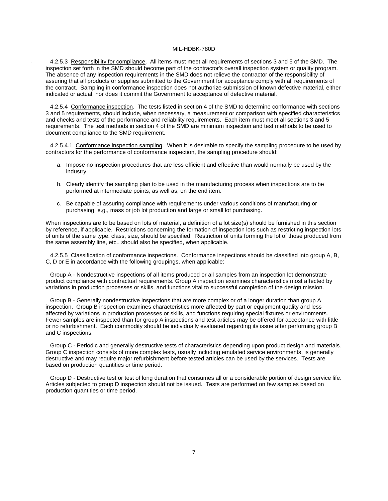4.2.5.3 Responsibility for compliance. All items must meet all requirements of sections 3 and 5 of the SMD. The inspection set forth in the SMD should become part of the contractor's overall inspection system or quality program. The absence of any inspection requirements in the SMD does not relieve the contractor of the responsibility of assuring that all products or supplies submitted to the Government for acceptance comply with all requirements of the contract. Sampling in conformance inspection does not authorize submission of known defective material, either indicated or actual, nor does it commit the Government to acceptance of defective material.

4.2.5.4 Conformance inspection. The tests listed in section 4 of the SMD to determine conformance with sections 3 and 5 requirements, should include, when necessary, a measurement or comparison with specified characteristics and checks and tests of the performance and reliability requirements. Each item must meet all sections 3 and 5 requirements. The test methods in section 4 of the SMD are minimum inspection and test methods to be used to document compliance to the SMD requirement.

4.2.5.4.1 Conformance inspection sampling. When it is desirable to specify the sampling procedure to be used by contractors for the performance of conformance inspection, the sampling procedure should:

- a. Impose no inspection procedures that are less efficient and effective than would normally be used by the industry.
- b. Clearly identify the sampling plan to be used in the manufacturing process when inspections are to be performed at intermediate points, as well as, on the end item.
- c. Be capable of assuring compliance with requirements under various conditions of manufacturing or purchasing, e.g., mass or job lot production and large or small lot purchasing.

When inspections are to be based on lots of material, a definition of a lot size(s) should be furnished in this section by reference, if applicable. Restrictions concerning the formation of inspection lots such as restricting inspection lots of units of the same type, class, size, should be specified. Restriction of units forming the lot of those produced from the same assembly line, etc., should also be specified, when applicable.

4.2.5.5 Classification of conformance inspections. Conformance inspections should be classified into group A, B, C, D or E in accordance with the following groupings, when applicable:

Group A - Nondestructive inspections of all items produced or all samples from an inspection lot demonstrate product compliance with contractual requirements. Group A inspection examines characteristics most affected by variations in production processes or skills, and functions vital to successful completion of the design mission.

Group B - Generally nondestructive inspections that are more complex or of a longer duration than group A inspection. Group B inspection examines characteristics more affected by part or equipment quality and less affected by variations in production processes or skills, and functions requiring special fixtures or environments. Fewer samples are inspected than for group A inspections and test articles may be offered for acceptance with little or no refurbishment. Each commodity should be individually evaluated regarding its issue after performing group B and C inspections.

 Group C - Periodic and generally destructive tests of characteristics depending upon product design and materials. Group C inspection consists of more complex tests, usually including emulated service environments, is generally destructive and may require major refurbishment before tested articles can be used by the services. Tests are based on production quantities or time period.

Group D - Destructive test or test of long duration that consumes all or a considerable portion of design service life. Articles subjected to group D inspection should not be issued. Tests are performed on few samples based on production quantities or time period.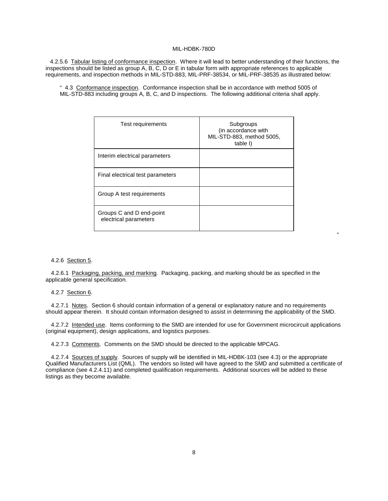4.2.5.6 Tabular listing of conformance inspection. Where it will lead to better understanding of their functions, the inspections should be listed as group A, B, C, D or E in tabular form with appropriate references to applicable requirements, and inspection methods in MIL-STD-883, MIL-PRF-38534, or MIL-PRF-38535 as illustrated below:

" 4.3 Conformance inspection. Conformance inspection shall be in accordance with method 5005 of MIL-STD-883 including groups A, B, C, and D inspections. The following additional criteria shall apply.

| Test requirements                                 | Subgroups<br>(in accordance with<br>MIL-STD-883, method 5005,<br>table I) |
|---------------------------------------------------|---------------------------------------------------------------------------|
| Interim electrical parameters                     |                                                                           |
| Final electrical test parameters                  |                                                                           |
| Group A test requirements                         |                                                                           |
| Groups C and D end-point<br>electrical parameters |                                                                           |

"

## 4.2.6 Section 5.

4.2.6.1 Packaging, packing, and marking. Packaging, packing, and marking should be as specified in the applicable general specification.

## 4.2.7 Section 6.

4.2.7.1 Notes. Section 6 should contain information of a general or explanatory nature and no requirements should appear therein. It should contain information designed to assist in determining the applicability of the SMD.

4.2.7.2 Intended use. Items conforming to the SMD are intended for use for Government microcircuit applications (original equipment), design applications, and logistics purposes.

4.2.7.3 Comments. Comments on the SMD should be directed to the applicable MPCAG.

4.2.7.4 Sources of supply. Sources of supply will be identified in MIL-HDBK-103 (see 4.3) or the appropriate Qualified Manufacturers List (QML). The vendors so listed will have agreed to the SMD and submitted a certificate of compliance (see 4.2.4.11) and completed qualification requirements. Additional sources will be added to these listings as they become available.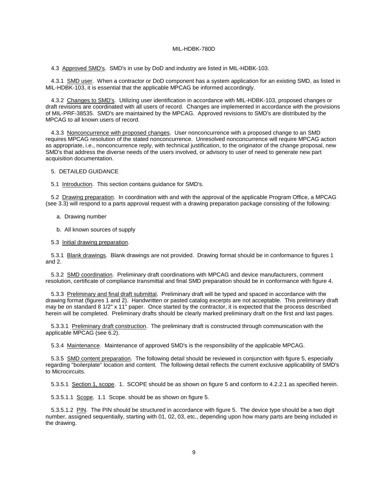4.3 Approved SMD's. SMD's in use by DoD and industry are listed in MIL-HDBK-103.

4.3.1 SMD user. When a contractor or DoD component has a system application for an existing SMD, as listed in MIL-HDBK-103, it is essential that the applicable MPCAG be informed accordingly.

4.3.2 Changes to SMD's. Utilizing user identification in accordance with MIL-HDBK-103, proposed changes or draft revisions are coordinated with all users of record. Changes are implemented in accordance with the provisions of MIL-PRF-38535. SMD's are maintained by the MPCAG. Approved revisions to SMD's are distributed by the MPCAG to all known users of record.

4.3.3 Nonconcurrence with proposed changes. User nonconcurrence with a proposed change to an SMD requires MPCAG resolution of the stated nonconcurrence. Unresolved nonconcurrence will require MPCAG action as appropriate, i.e., nonconcurrence reply, with technical justification, to the originator of the change proposal, new SMD's that address the diverse needs of the users involved, or advisory to user of need to generate new part acquisition documentation.

## 5. DETAILED GUIDANCE

5.1 Introduction. This section contains guidance for SMD's.

5.2 Drawing preparation. In coordination with and with the approval of the applicable Program Office, a MPCAG (see 3.3) will respond to a parts approval request with a drawing preparation package consisting of the following:

- a. Drawing number
- b. All known sources of supply

5.3 Initial drawing preparation.

5.3.1 Blank drawings. Blank drawings are not provided. Drawing format should be in conformance to figures 1 and 2.

5.3.2 SMD coordination. Preliminary draft coordinations with MPCAG and device manufacturers, comment resolution, certificate of compliance transmittal and final SMD preparation should be in conformance with figure 4.

5.3.3 Preliminary and final draft submittal. Preliminary draft will be typed and spaced in accordance with the drawing format (figures 1 and 2). Handwritten or pasted catalog excerpts are not acceptable. This preliminary draft may be on standard 8 1/2" x 11" paper. Once started by the contractor, it is expected that the process described herein will be completed. Preliminary drafts should be clearly marked preliminary draft on the first and last pages.

5.3.3.1 Preliminary draft construction. The preliminary draft is constructed through communication with the applicable MPCAG (see 6.2).

5.3.4 Maintenance. Maintenance of approved SMD's is the responsibility of the applicable MPCAG.

5.3.5 SMD content preparation. The following detail should be reviewed in conjunction with figure 5, especially regarding "boilerplate" location and content. The following detail reflects the current exclusive applicability of SMD's to Microcircuits.

5.3.5.1 Section 1, scope. 1. SCOPE should be as shown on figure 5 and conform to 4.2.2.1 as specified herein.

5.3.5.1.1 Scope. 1.1 Scope. should be as shown on figure 5.

5.3.5.1.2 PIN. The PIN should be structured in accordance with figure 5. The device type should be a two digit number, assigned sequentially, starting with 01, 02, 03, etc., depending upon how many parts are being included in the drawing.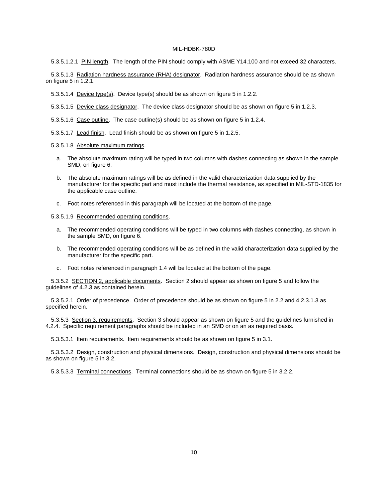5.3.5.1.2.1 PIN length. The length of the PIN should comply with ASME Y14.100 and not exceed 32 characters.

5.3.5.1.3 Radiation hardness assurance (RHA) designator. Radiation hardness assurance should be as shown on figure 5 in 1.2.1.

5.3.5.1.4 Device type(s). Device type(s) should be as shown on figure 5 in 1.2.2.

5.3.5.1.5 Device class designator. The device class designator should be as shown on figure 5 in 1.2.3.

5.3.5.1.6 Case outline. The case outline(s) should be as shown on figure 5 in 1.2.4.

5.3.5.1.7 Lead finish. Lead finish should be as shown on figure 5 in 1.2.5.

5.3.5.1.8 Absolute maximum ratings.

- a. The absolute maximum rating will be typed in two columns with dashes connecting as shown in the sample SMD, on figure 6.
- b. The absolute maximum ratings will be as defined in the valid characterization data supplied by the manufacturer for the specific part and must include the thermal resistance, as specified in MIL-STD-1835 for the applicable case outline.
- c. Foot notes referenced in this paragraph will be located at the bottom of the page.

5.3.5.1.9 Recommended operating conditions.

- a. The recommended operating conditions will be typed in two columns with dashes connecting, as shown in the sample SMD, on figure 6.
- b. The recommended operating conditions will be as defined in the valid characterization data supplied by the manufacturer for the specific part.
- c. Foot notes referenced in paragraph 1.4 will be located at the bottom of the page.

5.3.5.2 SECTION 2, applicable documents. Section 2 should appear as shown on figure 5 and follow the guidelines of 4.2.3 as contained herein.

5.3.5.2.1 Order of precedence. Order of precedence should be as shown on figure 5 in 2.2 and 4.2.3.1.3 as specified herein.

5.3.5.3 Section 3, requirements. Section 3 should appear as shown on figure 5 and the guidelines furnished in 4.2.4. Specific requirement paragraphs should be included in an SMD or on an as required basis.

5.3.5.3.1 Item requirements. Item requirements should be as shown on figure 5 in 3.1.

5.3.5.3.2 Design, construction and physical dimensions. Design, construction and physical dimensions should be as shown on figure 5 in 3.2.

5.3.5.3.3 Terminal connections. Terminal connections should be as shown on figure 5 in 3.2.2.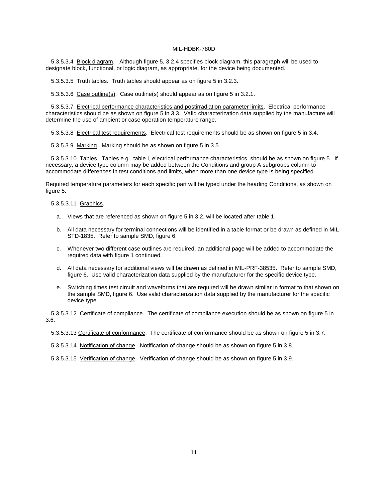5.3.5.3.4 Block diagram. Although figure 5, 3.2.4 specifies block diagram, this paragraph will be used to designate block, functional, or logic diagram, as appropriate, for the device being documented.

5.3.5.3.5 Truth tables. Truth tables should appear as on figure 5 in 3.2.3.

5.3.5.3.6 Case outline(s). Case outline(s) should appear as on figure 5 in 3.2.1.

5.3.5.3.7 Electrical performance characteristics and postirradiation parameter limits. Electrical performance characteristics should be as shown on figure 5 in 3.3. Valid characterization data supplied by the manufacture will determine the use of ambient or case operation temperature range.

5.3.5.3.8 Electrical test requirements. Electrical test requirements should be as shown on figure 5 in 3.4.

5.3.5.3.9 Marking. Marking should be as shown on figure 5 in 3.5.

5.3.5.3.10 Tables. Tables e.g., table I, electrical performance characteristics, should be as shown on figure 5. If necessary, a device type column may be added between the Conditions and group A subgroups column to accommodate differences in test conditions and limits, when more than one device type is being specified.

Required temperature parameters for each specific part will be typed under the heading Conditions, as shown on figure 5.

#### 5.3.5.3.11 Graphics.

- a. Views that are referenced as shown on figure 5 in 3.2, will be located after table 1.
- b. All data necessary for terminal connections will be identified in a table format or be drawn as defined in MIL-STD-1835. Refer to sample SMD, figure 6.
- c. Whenever two different case outlines are required, an additional page will be added to accommodate the required data with figure 1 continued.
- d. All data necessary for additional views will be drawn as defined in MIL-PRF-38535. Refer to sample SMD, figure 6. Use valid characterization data supplied by the manufacturer for the specific device type.
- e. Switching times test circuit and waveforms that are required will be drawn similar in format to that shown on the sample SMD, figure 6. Use valid characterization data supplied by the manufacturer for the specific device type.

5.3.5.3.12 Certificate of compliance. The certificate of compliance execution should be as shown on figure 5 in 3.6.

5.3.5.3.13 Certificate of conformance. The certificate of conformance should be as shown on figure 5 in 3.7.

5.3.5.3.14 Notification of change. Notification of change should be as shown on figure 5 in 3.8.

5.3.5.3.15 Verification of change. Verification of change should be as shown on figure 5 in 3.9.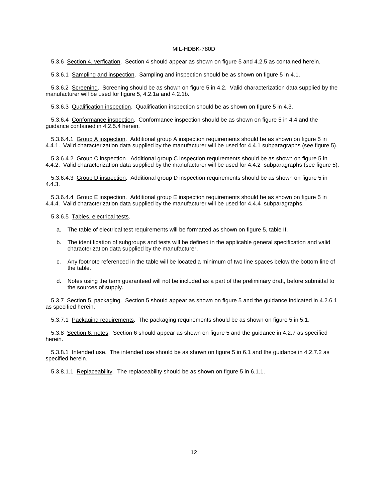5.3.6 Section 4, verfication. Section 4 should appear as shown on figure 5 and 4.2.5 as contained herein.

5.3.6.1 Sampling and inspection. Sampling and inspection should be as shown on figure 5 in 4.1.

5.3.6.2 Screening. Screening should be as shown on figure 5 in 4.2. Valid characterization data supplied by the manufacturer will be used for figure 5, 4.2.1a and 4.2.1b.

5.3.6.3 Qualification inspection. Qualification inspection should be as shown on figure 5 in 4.3.

 5.3.6.4 Conformance inspection. Conformance inspection should be as shown on figure 5 in 4.4 and the guidance contained in 4.2.5.4 herein.

5.3.6.4.1 Group A inspection. Additional group A inspection requirements should be as shown on figure 5 in 4.4.1. Valid characterization data supplied by the manufacturer will be used for 4.4.1 subparagraphs (see figure 5).

5.3.6.4.2 Group C inspection. Additional group C inspection requirements should be as shown on figure 5 in 4.4.2. Valid characterization data supplied by the manufacturer will be used for 4.4.2 subparagraphs (see figure 5).

5.3.6.4.3 Group D inspection. Additional group D inspection requirements should be as shown on figure 5 in 4.4.3.

5.3.6.4.4 Group E inspection. Additional group E inspection requirements should be as shown on figure 5 in 4.4.4. Valid characterization data supplied by the manufacturer will be used for 4.4.4 subparagraphs.

5.3.6.5 Tables, electrical tests.

- a. The table of electrical test requirements will be formatted as shown on figure 5, table II.
- b. The identification of subgroups and tests will be defined in the applicable general specification and valid characterization data supplied by the manufacturer.
- c. Any footnote referenced in the table will be located a minimum of two line spaces below the bottom line of the table.
- d. Notes using the term guaranteed will not be included as a part of the preliminary draft, before submittal to the sources of supply.

5.3.7 Section 5, packaging. Section 5 should appear as shown on figure 5 and the guidance indicated in 4.2.6.1 as specified herein.

5.3.7.1 Packaging requirements. The packaging requirements should be as shown on figure 5 in 5.1.

5.3.8 Section 6, notes. Section 6 should appear as shown on figure 5 and the guidance in 4.2.7 as specified herein.

5.3.8.1 Intended use. The intended use should be as shown on figure 5 in 6.1 and the guidance in 4.2.7.2 as specified herein.

5.3.8.1.1 Replaceability. The replaceability should be as shown on figure 5 in 6.1.1.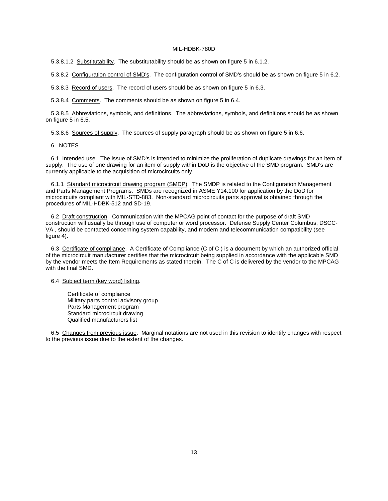5.3.8.1.2 Substitutability. The substitutability should be as shown on figure 5 in 6.1.2.

5.3.8.2 Configuration control of SMD's. The configuration control of SMD's should be as shown on figure 5 in 6.2.

5.3.8.3 Record of users. The record of users should be as shown on figure 5 in 6.3.

5.3.8.4 Comments. The comments should be as shown on figure 5 in 6.4.

5.3.8.5 Abbreviations, symbols, and definitions. The abbreviations, symbols, and definitions should be as shown on figure 5 in 6.5.

5.3.8.6 Sources of supply. The sources of supply paragraph should be as shown on figure 5 in 6.6.

6. NOTES

6.1 Intended use. The issue of SMD's is intended to minimize the proliferation of duplicate drawings for an item of supply. The use of one drawing for an item of supply within DoD is the objective of the SMD program. SMD's are currently applicable to the acquisition of microcircuits only.

6.1.1 Standard microcircuit drawing program (SMDP). The SMDP is related to the Configuration Management and Parts Management Programs. SMDs are recognized in ASME Y14.100 for application by the DoD for microcircuits compliant with MIL-STD-883. Non-standard microcircuits parts approval is obtained through the procedures of MIL-HDBK-512 and SD-19.

6.2 Draft construction. Communication with the MPCAG point of contact for the purpose of draft SMD construction will usually be through use of computer or word processor. Defense Supply Center Columbus, DSCC-VA , should be contacted concerning system capability, and modem and telecommunication compatibility (see figure 4).

6.3 Certificate of compliance. A Certificate of Compliance (C of C ) is a document by which an authorized official of the microcircuit manufacturer certifies that the microcircuit being supplied in accordance with the applicable SMD by the vendor meets the Item Requirements as stated therein. The C of C is delivered by the vendor to the MPCAG with the final SMD.

6.4 Subject term (key word) listing.

 Certificate of compliance Military parts control advisory group Parts Management program Standard microcircuit drawing Qualified manufacturers list

6.5 Changes from previous issue. Marginal notations are not used in this revision to identify changes with respect to the previous issue due to the extent of the changes.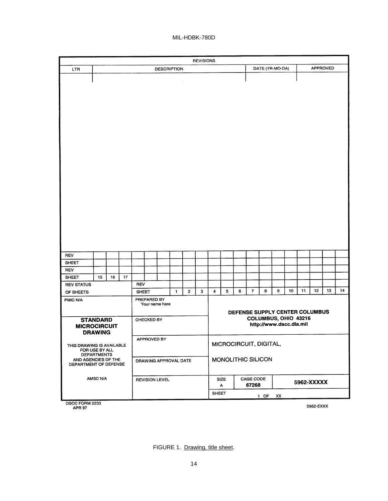|                                                                                                                   |                    |    |             |                   |             |                       |   |                        | <b>REVISIONS</b> |                                                 |                    |   |                    |   |                 |    |    |            |                 |    |
|-------------------------------------------------------------------------------------------------------------------|--------------------|----|-------------|-------------------|-------------|-----------------------|---|------------------------|------------------|-------------------------------------------------|--------------------|---|--------------------|---|-----------------|----|----|------------|-----------------|----|
| LTR                                                                                                               | <b>DESCRIPTION</b> |    |             |                   |             |                       |   |                        |                  |                                                 |                    |   |                    |   | DATE (YR-MO-DA) |    |    |            | <b>APPROVED</b> |    |
|                                                                                                                   |                    |    |             |                   |             |                       |   |                        |                  |                                                 |                    |   |                    |   |                 |    |    |            |                 |    |
|                                                                                                                   |                    |    |             |                   |             |                       |   |                        |                  |                                                 |                    |   |                    |   |                 |    |    |            |                 |    |
|                                                                                                                   |                    |    |             |                   |             |                       |   |                        |                  |                                                 |                    |   |                    |   |                 |    |    |            |                 |    |
| <b>REV</b>                                                                                                        |                    |    |             |                   |             |                       |   |                        |                  |                                                 |                    |   |                    |   |                 |    |    |            |                 |    |
| <b>SHEET</b>                                                                                                      |                    |    |             |                   |             |                       |   |                        |                  |                                                 |                    |   |                    |   |                 |    |    |            |                 |    |
| <b>REV</b>                                                                                                        |                    |    |             |                   |             |                       |   |                        |                  |                                                 |                    |   |                    |   |                 |    |    |            |                 |    |
| <b>SHEET</b>                                                                                                      | 15                 | 16 | 17          |                   |             |                       |   |                        |                  |                                                 |                    |   |                    |   |                 |    |    |            |                 |    |
| <b>REV STATUS</b>                                                                                                 |                    |    |             | <b>REV</b>        |             |                       |   |                        |                  |                                                 |                    |   |                    |   |                 |    |    |            |                 |    |
| OF SHEETS                                                                                                         |                    |    |             | <b>SHEET</b>      |             |                       | 1 | 2                      | 3                | 4                                               | 5                  | 6 | $\overline{7}$     | 8 | 9               | 10 | 11 | 12         | 13              | 14 |
| PMIC N/A                                                                                                          |                    |    |             |                   | PREPARED BY | Your name here        |   |                        |                  | DEFENSE SUPPLY CENTER COLUMBUS                  |                    |   |                    |   |                 |    |    |            |                 |    |
| <b>STANDARD</b><br><b>MICROCIRCUIT</b><br><b>DRAWING</b>                                                          |                    |    |             | <b>CHECKED BY</b> |             |                       |   |                        |                  | COLUMBUS, OHIO 43216<br>http://www.dscc.dla.mil |                    |   |                    |   |                 |    |    |            |                 |    |
| THIS DRAWING IS AVAILABLE<br>FOR USE BY ALL<br><b>DEPARTMENTS</b><br>AND AGENCIES OF THE<br>DEPARTMENT OF DEFENSE |                    |    | APPROVED BY |                   |             |                       |   | MICROCIRCUIT, DIGITAL, |                  |                                                 |                    |   |                    |   |                 |    |    |            |                 |    |
|                                                                                                                   |                    |    |             |                   |             | DRAWING APPROVAL DATE |   |                        |                  |                                                 | MONOLITHIC SILICON |   |                    |   |                 |    |    |            |                 |    |
|                                                                                                                   | AMSC N/A           |    |             |                   |             | <b>REVISION LEVEL</b> |   |                        |                  |                                                 | SIZE<br>А          |   | CAGE CODE<br>67268 |   |                 |    |    | 5962-XXXXX |                 |    |
|                                                                                                                   |                    |    |             |                   |             |                       |   |                        |                  | <b>SHEET</b><br>$1$ OF<br>XX                    |                    |   |                    |   |                 |    |    |            |                 |    |

DSCC FORM 2233<br>APR 97

5962-EXXX

FIGURE 1. Drawing, title sheet.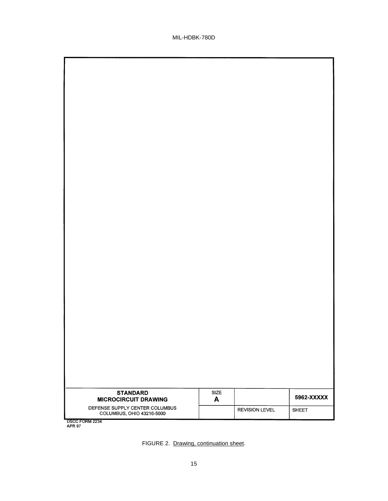7

| $\label{eq:2.1} \mathcal{L}(\mathcal{L}^{\text{c}}_{\text{c}}) = \mathcal{L}(\mathcal{L}^{\text{c}}_{\text{c}}) \mathcal{L}(\mathcal{L}^{\text{c}}_{\text{c}})$                                                                                                                                                                                                                                                                                        |      |                       |              |
|--------------------------------------------------------------------------------------------------------------------------------------------------------------------------------------------------------------------------------------------------------------------------------------------------------------------------------------------------------------------------------------------------------------------------------------------------------|------|-----------------------|--------------|
|                                                                                                                                                                                                                                                                                                                                                                                                                                                        |      |                       |              |
|                                                                                                                                                                                                                                                                                                                                                                                                                                                        |      |                       |              |
|                                                                                                                                                                                                                                                                                                                                                                                                                                                        |      |                       |              |
|                                                                                                                                                                                                                                                                                                                                                                                                                                                        |      |                       |              |
|                                                                                                                                                                                                                                                                                                                                                                                                                                                        |      |                       |              |
|                                                                                                                                                                                                                                                                                                                                                                                                                                                        |      |                       |              |
|                                                                                                                                                                                                                                                                                                                                                                                                                                                        |      |                       |              |
|                                                                                                                                                                                                                                                                                                                                                                                                                                                        |      |                       |              |
|                                                                                                                                                                                                                                                                                                                                                                                                                                                        |      |                       |              |
|                                                                                                                                                                                                                                                                                                                                                                                                                                                        |      |                       |              |
| $\label{eq:2.1} \frac{1}{\sqrt{2}}\left(\frac{1}{\sqrt{2}}\right)^{2} \left(\frac{1}{\sqrt{2}}\right)^{2} \left(\frac{1}{\sqrt{2}}\right)^{2} \left(\frac{1}{\sqrt{2}}\right)^{2} \left(\frac{1}{\sqrt{2}}\right)^{2} \left(\frac{1}{\sqrt{2}}\right)^{2} \left(\frac{1}{\sqrt{2}}\right)^{2} \left(\frac{1}{\sqrt{2}}\right)^{2} \left(\frac{1}{\sqrt{2}}\right)^{2} \left(\frac{1}{\sqrt{2}}\right)^{2} \left(\frac{1}{\sqrt{2}}\right)^{2} \left(\$ |      |                       |              |
|                                                                                                                                                                                                                                                                                                                                                                                                                                                        |      |                       |              |
|                                                                                                                                                                                                                                                                                                                                                                                                                                                        |      |                       |              |
|                                                                                                                                                                                                                                                                                                                                                                                                                                                        |      |                       |              |
| $\mathcal{L}^{\text{max}}_{\text{max}}$ and $\mathcal{L}^{\text{max}}_{\text{max}}$                                                                                                                                                                                                                                                                                                                                                                    |      |                       |              |
|                                                                                                                                                                                                                                                                                                                                                                                                                                                        |      |                       |              |
|                                                                                                                                                                                                                                                                                                                                                                                                                                                        |      |                       |              |
|                                                                                                                                                                                                                                                                                                                                                                                                                                                        |      |                       |              |
|                                                                                                                                                                                                                                                                                                                                                                                                                                                        |      |                       |              |
| <b>STANDARD</b>                                                                                                                                                                                                                                                                                                                                                                                                                                        | SIZE |                       | 5962-XXXXX   |
| <b>MICROCIRCUIT DRAWING</b><br>DEFENSE SUPPLY CENTER COLUMBUS                                                                                                                                                                                                                                                                                                                                                                                          | A    | <b>REVISION LEVEL</b> |              |
| COLUMBUS, OHIO 43216-5000<br>$-2 - 1 - 2 - 7$                                                                                                                                                                                                                                                                                                                                                                                                          |      |                       | <b>SHEET</b> |

DSCC FORM 2234<br>APR 97

T

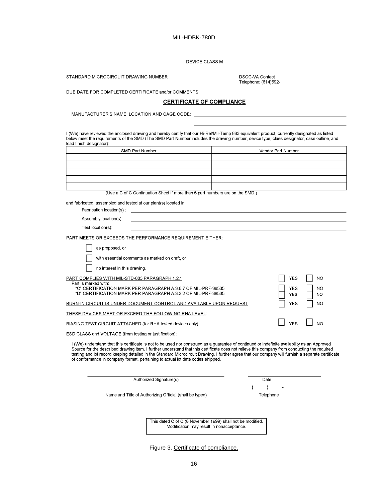DEVICE CLASS M

STANDARD MICROCIRCUIT DRAWING NUMBER

DSCC-VA Contact Telephone: (614)692-

DUE DATE FOR COMPLETED CERTIFICATE and/or COMMENTS

## **CERTIFICATE OF COMPLIANCE**

MANUFACTURER'S NAME, LOCATION AND CAGE CODE:

I (We) have reviewed the enclosed drawing and hereby certify that our Hi-Rel/Mil-Temp 883 equivalent product, currently designated as listed below meet the requirements of the SMD (The SMD Part Number includes the drawing number, device type, class designator, case outline, and lead finish designator):

| SMD Part Number | Vendor Part Number |
|-----------------|--------------------|
|                 |                    |
|                 |                    |
|                 |                    |
|                 |                    |
|                 |                    |

(Use a C of C Continuation Sheet if more than 5 part numbers are on the SMD.)

and fabricated, assembled and tested at our plant(s) located in:

| Fabrication location(s): |  |
|--------------------------|--|
| Assembly location(s):    |  |
| Test location(s):        |  |
|                          |  |

PART MEETS OR EXCEEDS THE PERFORMANCE REQUIREMENT EITHER:

of conformance in company format, pertaining to actual lot date codes shipped.

| as proposed, or                                                                                                                                                                                                                                                                                                                                                                                                                                     |                          |                  |  |
|-----------------------------------------------------------------------------------------------------------------------------------------------------------------------------------------------------------------------------------------------------------------------------------------------------------------------------------------------------------------------------------------------------------------------------------------------------|--------------------------|------------------|--|
| with essential comments as marked on draft, or                                                                                                                                                                                                                                                                                                                                                                                                      |                          |                  |  |
| no interest in this drawing.                                                                                                                                                                                                                                                                                                                                                                                                                        |                          |                  |  |
| PART COMPLIES WITH MIL-STD-883 PARAGRAPH 1.2.1<br>Part is marked with:                                                                                                                                                                                                                                                                                                                                                                              | <b>YES</b>               | NO               |  |
| "C" CERTIFICATION MARK PER PARAGRAPH A.3.6.7 OF MIL-PRF-38535<br>"D" CERTIFICATION MARK PER PARAGRAPH A.3.2.2 OF MIL-PRF-38535                                                                                                                                                                                                                                                                                                                      | <b>YES</b><br><b>YES</b> | <b>NO</b><br>NO. |  |
| BURN-IN CIRCUIT IS UNDER DOCUMENT CONTROL AND AVAILABLE UPON REQUEST                                                                                                                                                                                                                                                                                                                                                                                | YES                      | <b>NO</b>        |  |
| THESE DEVICES MEET OR EXCEED THE FOLLOWING RHA LEVEL:                                                                                                                                                                                                                                                                                                                                                                                               |                          |                  |  |
| BIASING TEST CIRCUIT ATTACHED (for RHA tested devices only)                                                                                                                                                                                                                                                                                                                                                                                         | <b>YES</b>               | N <sub>O</sub>   |  |
| ESD CLASS and VOLTAGE (from testing or justification):                                                                                                                                                                                                                                                                                                                                                                                              |                          |                  |  |
| I (We) understand that this certificate is not to be used nor construed as a guarantee of continued or indefinite availability as an Approved<br>Source for the described drawing item. I further understand that this certificate does not relieve this company from conducting the required<br>testing and lot record keeping detailed in the Standard Microcircuit Drawing. I further agree that our company will furnish a separate certificate |                          |                  |  |

| Authorized Signature(s)                                 | Date      |
|---------------------------------------------------------|-----------|
|                                                         | -         |
| Name and Title of Authorizing Official (shall be typed) | Telephone |

This dated C of C (8 November 1999) shall not be modified. Modification may result in nonacceptance.

Figure 3. Certificate of compliance.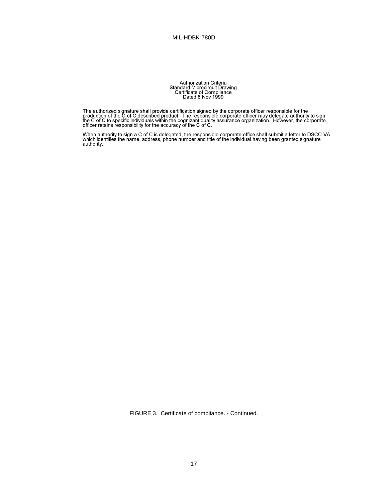Authorization Criteria<br>Standard Microcircuit Drawing<br>Certificate of Compliance<br>Dated 8 Nov 1999

The authorized signature shall provide certification signed by the corporate officer responsible for the production of the C of C described product. The responsible corporate officer may delegate authority to sign the C of

Officer retains responsibility for the accuracy of the C or C.<br>When authority to sign a C of C is delegated, the responsible corporate office shall submit a letter to DSCC-VA<br>which identifies the name, address, phone numbe

FIGURE 3. Certificate of compliance. - Continued.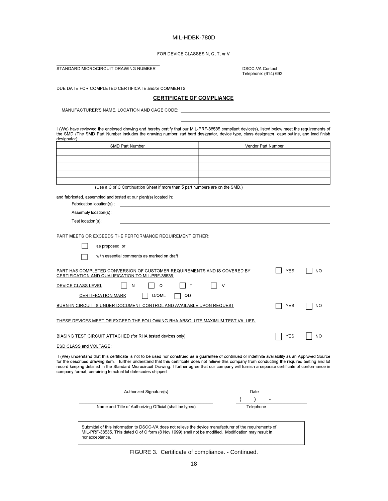FOR DEVICE CLASSES N. Q. T. or V

STANDARD MICROCIRCUIT DRAWING NUMBER

nonacceptance.

DSCC-VA Contact<br>Telephone: (614) 692-

DUE DATE FOR COMPLETED CERTIFICATE and/or COMMENTS

# **CERTIFICATE OF COMPLIANCE**

MANUFACTURER'S NAME, LOCATION AND CAGE CODE:

I (We) have reviewed the enclosed drawing and hereby certify that our MIL-PRF-38535 compliant device(s), listed below meet the requirements of<br>the SMD (The SMD Part Number includes the drawing number, rad hard designator, designator):

|                                                                                                                                                                                                                                                                                                                                                                                                                                                                                                                                       | Vendor Part Number |
|---------------------------------------------------------------------------------------------------------------------------------------------------------------------------------------------------------------------------------------------------------------------------------------------------------------------------------------------------------------------------------------------------------------------------------------------------------------------------------------------------------------------------------------|--------------------|
|                                                                                                                                                                                                                                                                                                                                                                                                                                                                                                                                       |                    |
|                                                                                                                                                                                                                                                                                                                                                                                                                                                                                                                                       |                    |
|                                                                                                                                                                                                                                                                                                                                                                                                                                                                                                                                       |                    |
| (Use a C of C Continuation Sheet if more than 5 part numbers are on the SMD.)                                                                                                                                                                                                                                                                                                                                                                                                                                                         |                    |
| and fabricated, assembled and tested at our plant(s) located in:                                                                                                                                                                                                                                                                                                                                                                                                                                                                      |                    |
| Fabrication location(s):                                                                                                                                                                                                                                                                                                                                                                                                                                                                                                              |                    |
| Assembly location(s):                                                                                                                                                                                                                                                                                                                                                                                                                                                                                                                 |                    |
| Test location(s):                                                                                                                                                                                                                                                                                                                                                                                                                                                                                                                     |                    |
| <b>PART MEETS OR EXCEEDS THE PERFORMANCE REQUIREMENT EITHER:</b>                                                                                                                                                                                                                                                                                                                                                                                                                                                                      |                    |
| as proposed, or                                                                                                                                                                                                                                                                                                                                                                                                                                                                                                                       |                    |
| with essential comments as marked on draft                                                                                                                                                                                                                                                                                                                                                                                                                                                                                            |                    |
| PART HAS COMPLETED CONVERSION OF CUSTOMER REQUIREMENTS AND IS COVERED BY<br>CERTIFICATION AND QUALIFICATION TO MIL-PRF-38535.                                                                                                                                                                                                                                                                                                                                                                                                         | <b>YES</b><br>NO   |
| DEVICE CLASS LEVEL<br>N<br>Q<br>Т                                                                                                                                                                                                                                                                                                                                                                                                                                                                                                     | ٧                  |
| <b>CERTIFICATION MARK</b><br>Q/QML<br>QD                                                                                                                                                                                                                                                                                                                                                                                                                                                                                              |                    |
| BURN-IN CIRCUIT IS UNDER DOCUMENT CONTROL AND AVAILABLE UPON REQUEST                                                                                                                                                                                                                                                                                                                                                                                                                                                                  | YES<br>ΝO          |
| THESE DEVICES MEET OR EXCEED THE FOLLOWING RHA ABSOLUTE MAXIMUM TEST VALUES:                                                                                                                                                                                                                                                                                                                                                                                                                                                          |                    |
| <b>BIASING TEST CIRCUIT ATTACHED</b> (for RHA tested devices only)                                                                                                                                                                                                                                                                                                                                                                                                                                                                    | YES<br>NO          |
| ESD CLASS and VOLTAGE:                                                                                                                                                                                                                                                                                                                                                                                                                                                                                                                |                    |
| I (We) understand that this certificate is not to be used nor construed as a guarantee of continued or indefinite availability as an Approved Source<br>for the described drawing item. I further understand that this certificate does not relieve this company from conducting the required testing and lot<br>record keeping detailed in the Standard Microcircuit Drawing. I further agree that our company will furnish a separate certificate of conformance in<br>company format, pertaining to actual lot date codes shipped. |                    |
| Authorized Signature(s)                                                                                                                                                                                                                                                                                                                                                                                                                                                                                                               | Date               |
|                                                                                                                                                                                                                                                                                                                                                                                                                                                                                                                                       |                    |
|                                                                                                                                                                                                                                                                                                                                                                                                                                                                                                                                       |                    |

FIGURE 3. Certificate of compliance. - Continued.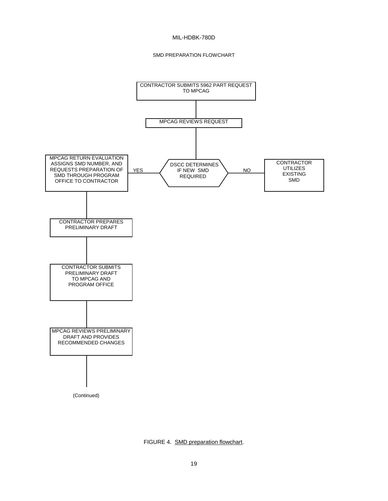## SMD PREPARATION FLOWCHART



FIGURE 4. SMD preparation flowchart.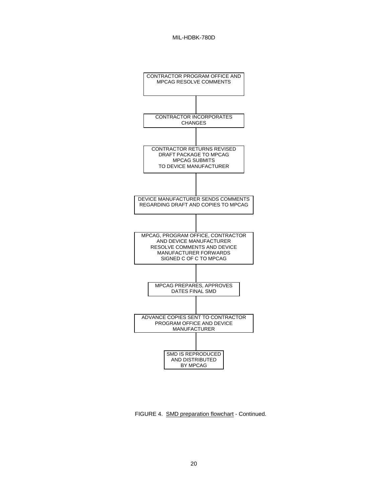

FIGURE 4. SMD preparation flowchart - Continued.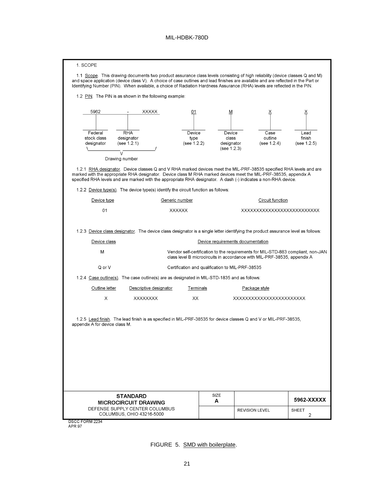| 1. SCOPE                                  | 1.1 Scope. This drawing documents two product assurance class levels consisting of high reliability (device classes Q and M)<br>and space application (device class V). A choice of case outlines and lead finishes are available and are reflected in the Part or<br>Identifying Number (PIN). When available, a choice of Radiation Hardness Assurance (RHA) levels are reflected in the PIN.<br>1.2 PIN. The PIN is as shown in the following example: |                                                                                       |                                                                                                                                                              |                               |
|-------------------------------------------|-----------------------------------------------------------------------------------------------------------------------------------------------------------------------------------------------------------------------------------------------------------------------------------------------------------------------------------------------------------------------------------------------------------------------------------------------------------|---------------------------------------------------------------------------------------|--------------------------------------------------------------------------------------------------------------------------------------------------------------|-------------------------------|
| 5962                                      | XXXXX<br>01                                                                                                                                                                                                                                                                                                                                                                                                                                               | M                                                                                     | Ϫ                                                                                                                                                            | Ϫ                             |
| Federal<br>stock class<br>designator<br>V | <b>RHA</b><br>Device<br>designator<br>type<br>(see 1.2.1)<br>(see 1.2.2)                                                                                                                                                                                                                                                                                                                                                                                  | Device<br>class<br>designator<br>(see 1.2.3)                                          | Case<br>outline<br>(see 1.2.4)                                                                                                                               | Lead<br>finish<br>(see 1.2.5) |
| Drawing number                            | 1.2.1 RHA designator. Device classes Q and V RHA marked devices meet the MIL-PRF-38535 specified RHA levels and are<br>marked with the appropriate RHA designator. Device class M RHA marked devices meet the MIL-PRF-38535, appendix A<br>specified RHA levels and are marked with the appropriate RHA designator. A dash (-) indicates a non-RHA device.<br>1.2.2 Device type(s). The device type(s) identify the circuit function as follows:          |                                                                                       |                                                                                                                                                              |                               |
| Device type                               | Generic number                                                                                                                                                                                                                                                                                                                                                                                                                                            |                                                                                       | Circuit function                                                                                                                                             |                               |
| 01                                        | <b>XXXXXX</b>                                                                                                                                                                                                                                                                                                                                                                                                                                             |                                                                                       | XXXXXXXXXXXXXXXXXXXXXXXXXX                                                                                                                                   |                               |
| Device class<br>M<br>Q or V               |                                                                                                                                                                                                                                                                                                                                                                                                                                                           | Device requirements documentation<br>Certification and qualification to MIL-PRF-38535 | Vendor self-certification to the requirements for MIL-STD-883 compliant, non-JAN<br>class level B microcircuits in accordance with MIL-PRF-38535, appendix A |                               |
|                                           | 1.2.4 Case outline(s). The case outline(s) are as designated in MIL-STD-1835 and as follows:                                                                                                                                                                                                                                                                                                                                                              |                                                                                       |                                                                                                                                                              |                               |
| Outline letter                            | Descriptive designator                                                                                                                                                                                                                                                                                                                                                                                                                                    | Terminals                                                                             | Package style                                                                                                                                                |                               |
| Χ<br>appendix A for device class M.       | <b>XXXXXXXX</b><br>XX<br>1.2.5 Lead finish. The lead finish is as specified in MIL-PRF-38535 for device classes Q and V or MIL-PRF-38535,                                                                                                                                                                                                                                                                                                                 |                                                                                       | XXXXXXXXXXXXXXXXXXXXXXX                                                                                                                                      |                               |
|                                           | <b>STANDARD</b><br><b>MICROCIRCUIT DRAWING</b>                                                                                                                                                                                                                                                                                                                                                                                                            | SIZE<br>A                                                                             |                                                                                                                                                              | 5962-XXXXX                    |
|                                           | DEFENSE SUPPLY CENTER COLUMBUS<br>COLUMBUS, OHIO 43216-5000                                                                                                                                                                                                                                                                                                                                                                                               |                                                                                       | <b>REVISION LEVEL</b>                                                                                                                                        | <b>SHEET</b><br>2             |
| DSCC FORM 2234                            |                                                                                                                                                                                                                                                                                                                                                                                                                                                           |                                                                                       |                                                                                                                                                              |                               |

APR 97

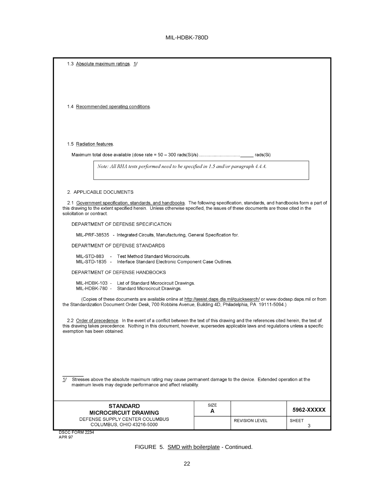| 1.3 Absolute maximum ratings. 1/                                                                                                                                                                                                                                                                    |           |                       |                   |
|-----------------------------------------------------------------------------------------------------------------------------------------------------------------------------------------------------------------------------------------------------------------------------------------------------|-----------|-----------------------|-------------------|
|                                                                                                                                                                                                                                                                                                     |           |                       |                   |
|                                                                                                                                                                                                                                                                                                     |           |                       |                   |
| 1.4 Recommended operating conditions.                                                                                                                                                                                                                                                               |           |                       |                   |
|                                                                                                                                                                                                                                                                                                     |           |                       |                   |
|                                                                                                                                                                                                                                                                                                     |           |                       |                   |
| 1.5 Radiation features.                                                                                                                                                                                                                                                                             |           |                       |                   |
|                                                                                                                                                                                                                                                                                                     |           |                       |                   |
| Note: All RHA tests performed need to be specified in 1.5 and/or paragraph 4.4.4.                                                                                                                                                                                                                   |           |                       |                   |
|                                                                                                                                                                                                                                                                                                     |           |                       |                   |
| 2. APPLICABLE DOCUMENTS                                                                                                                                                                                                                                                                             |           |                       |                   |
| 2.1 Government specification, standards, and handbooks. The following specification, standards, and handbooks form a part of<br>this drawing to the extent specified herein. Unless otherwise specified, the issues of these documents are those cited in the<br>solicitation or contract.          |           |                       |                   |
| DEPARTMENT OF DEFENSE SPECIFICATION                                                                                                                                                                                                                                                                 |           |                       |                   |
| MIL-PRF-38535 - Integrated Circuits, Manufacturing, General Specification for.                                                                                                                                                                                                                      |           |                       |                   |
| DEPARTMENT OF DEFENSE STANDARDS                                                                                                                                                                                                                                                                     |           |                       |                   |
| MIL-STD-883 - Test Method Standard Microcircuits.<br>MIL-STD-1835 - Interface Standard Electronic Component Case Outlines.                                                                                                                                                                          |           |                       |                   |
| DEPARTMENT OF DEFENSE HANDBOOKS                                                                                                                                                                                                                                                                     |           |                       |                   |
| MIL-HDBK-103 - List of Standard Microcircuit Drawings.<br>MIL-HDBK-780 - Standard Microcircuit Drawings.                                                                                                                                                                                            |           |                       |                   |
| (Copies of these documents are available online at http://assist.daps.dla.mil/quicksearch/ or www.dodssp.daps.mil or from<br>the Standardization Document Order Desk, 700 Robbins Avenue, Building 4D, Philadelphia, PA 19111-5094.)                                                                |           |                       |                   |
| 2.2 Order of precedence. In the event of a conflict between the text of this drawing and the references cited herein, the text of<br>this drawing takes precedence. Nothing in this document, however, supersedes applicable laws and regulations unless a specific<br>exemption has been obtained. |           |                       |                   |
|                                                                                                                                                                                                                                                                                                     |           |                       |                   |
|                                                                                                                                                                                                                                                                                                     |           |                       |                   |
|                                                                                                                                                                                                                                                                                                     |           |                       |                   |
| 1/<br>Stresses above the absolute maximum rating may cause permanent damage to the device. Extended operation at the<br>maximum levels may degrade performance and affect reliability.                                                                                                              |           |                       |                   |
|                                                                                                                                                                                                                                                                                                     |           |                       |                   |
| <b>STANDARD</b><br><b>MICROCIRCUIT DRAWING</b>                                                                                                                                                                                                                                                      | SIZE<br>A |                       | 5962-XXXXX        |
| DEFENSE SUPPLY CENTER COLUMBUS<br>COLUMBUS, OHIO 43216-5000                                                                                                                                                                                                                                         |           | <b>REVISION LEVEL</b> | <b>SHEET</b><br>3 |
| DSCC FORM 2234<br><b>APR 97</b>                                                                                                                                                                                                                                                                     |           |                       |                   |

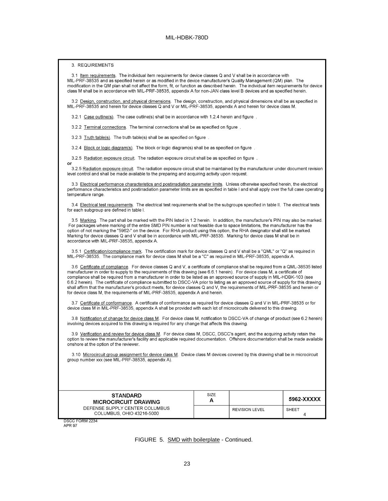#### 3. REQUIREMENTS

or

3.1 Item requirements. The individual item requirements for device classes Q and V shall be in accordance with MIL-PRF-38535 and as specified herein or as modified in the device manufacturer's Quality Management (QM) plan. The modification in the QM plan shall not affect the form, fit, or function as described herein. The individual item requirements for device class M shall be in accordance with MIL-PRF-38535, appendix A for non-JAN class level B devices and as specified herein.

3.2 Design, construction, and physical dimensions. The design, construction, and physical dimensions shall be as specified in MIL-PRF-38535 and herein for device classes Q and V or MIL-PRF-38535, appendix A and herein for device class M.

3.2.1 Case outline(s). The case outline(s) shall be in accordance with 1.2.4 herein and figure.

3.2.2 Terminal connections. The terminal connections shall be as specified on figure.

3.2.3 Truth table(s). The truth table(s) shall be as specified on figure.

3.2.4 Block or logic diagram(s). The block or logic diagram(s) shall be as specified on figure.

3.2.5 Radiation exposure circuit. The radiation exposure circuit shall be as specified on figure.

3.2.5 Radiation exposure circuit. The radiation exposure circuit shall be maintained by the manufacturer under document revision level control and shall be made available to the preparing and acquiring activity upon request.

3.3 Electrical performance characteristics and postirradiation parameter limits. Unless otherwise specified herein, the electrical performance characteristics and postirradiation parameter limits are as specified in table I and shall apply over the full case operating temperature range

3.4 Electrical test requirements. The electrical test requirements shall be the subgroups specified in table II. The electrical tests for each subgroup are defined in table I.

3.5 Marking. The part shall be marked with the PIN listed in 1.2 herein. In addition, the manufacturer's PIN may also be marked. For packages where marking of the entire SMD PIN number is not feasible due to space limitations, the manufacturer has the option of not marking the "5962-" on the device. For RHA product using this option, the RHA designator shall still be marked. Marking for device classes Q and V shall be in accordance with MIL-PRF-38535. Marking for device class M shall be in accordance with MIL-PRF-38535, appendix A.

3.5.1 Certification/compliance mark. The certification mark for device classes Q and V shall be a "QML" or "Q" as required in MIL-PRF-38535. The compliance mark for device class M shall be a "C" as required in MIL-PRF-38535, appendix A.

3.6 Certificate of compliance. For device classes Q and V, a certificate of compliance shall be required from a QML-38535 listed manufacturer in order to supply to the requirements of this drawing (see 6.6.1 herein). For device class M, a certificate of compliance shall be required from a manufacturer in order to be listed as an approved source of supply in MIL-HDBK-103 (see 6.6.2 herein). The certificate of compliance submitted to DSCC-VA prior to listing as an approved source of supply for this drawing shall affirm that the manufacturer's product meets, for device classes Q and V, the requirements of MIL-PRF-38535 and herein or for device class M, the requirements of MIL-PRF-38535, appendix A and herein.

3.7 Certificate of conformance. A certificate of conformance as required for device classes Q and V in MIL-PRF-38535 or for device class M in MIL-PRF-38535, appendix A shall be provided with each lot of microcircuits delivered to this drawing.

3.8 Notification of change for device class M. For device class M, notification to DSCC-VA of change of product (see 6.2 herein) involving devices acquired to this drawing is required for any change that affects this drawing.

3.9 Verification and review for device class M. For device class M, DSCC, DSCC's agent, and the acquiring activity retain the option to review the manufacturer's facility and applicable required documentation. Offshore documentation shall be made available onshore at the option of the reviewer.

3.10 Microcircuit group assignment for device class M. Device class M devices covered by this drawing shall be in microcircuit group number xxx (see MIL-PRF-38535, appendix A).

| <b>STANDARD</b><br><b>MICROCIRCUIT DRAWING</b>              | SIZE |                       | 5962-XXXXX |
|-------------------------------------------------------------|------|-----------------------|------------|
| DEFENSE SUPPLY CENTER COLUMBUS<br>COLUMBUS, OHIO 43216-5000 |      | <b>REVISION LEVEL</b> | SHEET      |

**DSCC FORM 2234 APR 97** 

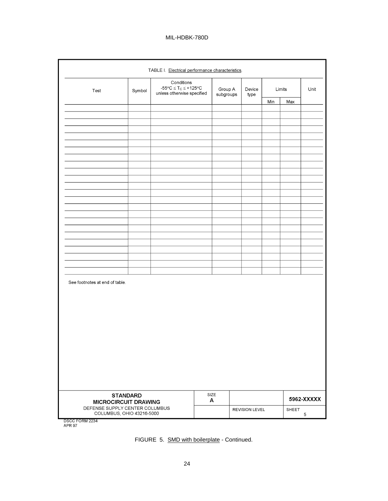| TABLE I. Electrical performance characteristics.                        |        |                                                                                        |           |                      |  |                       |     |        |            |
|-------------------------------------------------------------------------|--------|----------------------------------------------------------------------------------------|-----------|----------------------|--|-----------------------|-----|--------|------------|
| Test                                                                    | Symbol | Conditions<br>$-55^{\circ}C \leq T_C \leq +125^{\circ}C$<br>unless otherwise specified |           | Group A<br>subgroups |  | Device<br>type        |     | Limits | Unit       |
|                                                                         |        |                                                                                        |           |                      |  |                       | Min | Max    |            |
|                                                                         |        |                                                                                        |           |                      |  |                       |     |        |            |
|                                                                         |        |                                                                                        |           |                      |  |                       |     |        |            |
|                                                                         |        |                                                                                        |           |                      |  |                       |     |        |            |
|                                                                         |        |                                                                                        |           |                      |  |                       |     |        |            |
|                                                                         |        |                                                                                        |           |                      |  |                       |     |        |            |
|                                                                         |        |                                                                                        |           |                      |  |                       |     |        |            |
|                                                                         |        |                                                                                        |           |                      |  |                       |     |        |            |
|                                                                         |        |                                                                                        |           |                      |  |                       |     |        |            |
|                                                                         |        |                                                                                        |           |                      |  |                       |     |        |            |
|                                                                         |        |                                                                                        |           |                      |  |                       |     |        |            |
|                                                                         |        |                                                                                        |           |                      |  |                       |     |        |            |
|                                                                         |        |                                                                                        |           |                      |  |                       |     |        |            |
|                                                                         |        |                                                                                        |           |                      |  |                       |     |        |            |
|                                                                         |        |                                                                                        |           |                      |  |                       |     |        |            |
|                                                                         |        |                                                                                        |           |                      |  |                       |     |        |            |
|                                                                         |        |                                                                                        |           |                      |  |                       |     |        |            |
|                                                                         |        |                                                                                        |           |                      |  |                       |     |        |            |
|                                                                         |        |                                                                                        |           |                      |  |                       |     |        |            |
|                                                                         |        |                                                                                        |           |                      |  |                       |     |        |            |
| See footnotes at end of table.                                          |        |                                                                                        |           |                      |  |                       |     |        |            |
|                                                                         |        |                                                                                        |           |                      |  |                       |     |        |            |
|                                                                         |        |                                                                                        |           |                      |  |                       |     |        |            |
|                                                                         |        |                                                                                        |           |                      |  |                       |     |        |            |
|                                                                         |        |                                                                                        |           |                      |  |                       |     |        |            |
|                                                                         |        |                                                                                        |           |                      |  |                       |     |        |            |
|                                                                         |        |                                                                                        |           |                      |  |                       |     |        |            |
|                                                                         |        |                                                                                        |           |                      |  |                       |     |        |            |
|                                                                         |        |                                                                                        |           |                      |  |                       |     |        |            |
|                                                                         |        |                                                                                        |           |                      |  |                       |     |        |            |
|                                                                         |        |                                                                                        |           |                      |  |                       |     |        |            |
|                                                                         |        |                                                                                        |           |                      |  |                       |     |        |            |
| <b>STANDARD</b><br><b>MICROCIRCUIT DRAWING</b>                          |        |                                                                                        | SIZE<br>А |                      |  |                       |     |        | 5962-XXXXX |
| DEFENSE SUPPLY CENTER COLUMBUS<br>COLUMBUS, OHIO 43216-5000<br>50010001 |        |                                                                                        |           |                      |  | <b>REVISION LEVEL</b> |     | SHEET  | 5          |

DSCC FORM 2234<br>APR 97

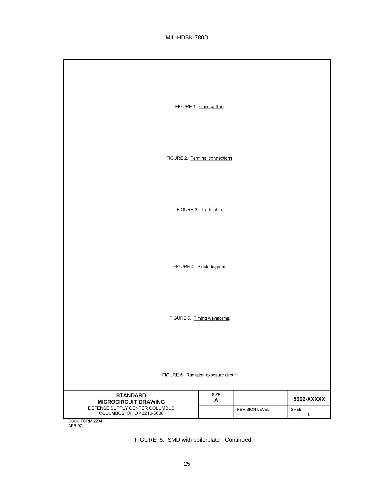|                                                             | FIGURE 1. Case outline.     |                       |            |  |  |  |  |  |  |  |
|-------------------------------------------------------------|-----------------------------|-----------------------|------------|--|--|--|--|--|--|--|
|                                                             |                             |                       |            |  |  |  |  |  |  |  |
| FIGURE 2. Terminal connections.                             |                             |                       |            |  |  |  |  |  |  |  |
|                                                             |                             |                       |            |  |  |  |  |  |  |  |
|                                                             | FIGURE 3. Truth table.      |                       |            |  |  |  |  |  |  |  |
|                                                             |                             |                       |            |  |  |  |  |  |  |  |
|                                                             |                             |                       |            |  |  |  |  |  |  |  |
|                                                             | FIGURE 4. Block diagram.    |                       |            |  |  |  |  |  |  |  |
|                                                             |                             |                       |            |  |  |  |  |  |  |  |
|                                                             | FIGURE 5. Timing waveforms. |                       |            |  |  |  |  |  |  |  |
|                                                             |                             |                       |            |  |  |  |  |  |  |  |
| FIGURE 5. Radiation exposure circuit.                       |                             |                       |            |  |  |  |  |  |  |  |
|                                                             |                             |                       |            |  |  |  |  |  |  |  |
| <b>STANDARD</b><br><b>MICROCIRCUIT DRAWING</b>              | SIZE<br>A                   |                       | 5962-XXXXX |  |  |  |  |  |  |  |
| DEFENSE SUPPLY CENTER COLUMBUS<br>COLUMBUS, OHIO 43216-5000 |                             | <b>REVISION LEVEL</b> | SHEET<br>6 |  |  |  |  |  |  |  |
| DSCC FORM 2234<br>APR 97                                    |                             |                       |            |  |  |  |  |  |  |  |

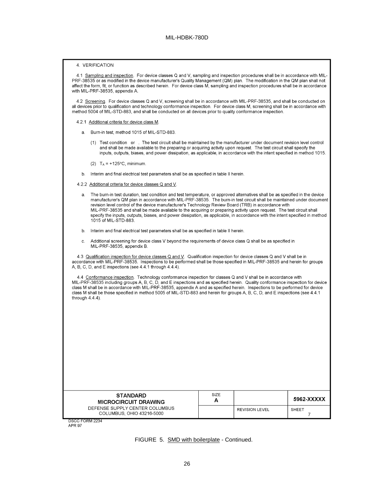#### 4. VERIFICATION

4.1 Sampling and inspection. For device classes Q and V, sampling and inspection procedures shall be in accordance with MIL-PRF-38535 or as modified in the device manufacturer's Quality Management (QM) plan. The modification in the QM plan shall not affect the form, fit, or function as described herein. For device class M, sampling and inspection procedures shall be in accordance with MIL-PRF-38535, appendix A.

4.2 Screening. For device classes Q and V, screening shall be in accordance with MIL-PRF-38535, and shall be conducted on all devices prior to qualification and technology conformance inspection. For device class M, screening shall be in accordance with method 5004 of MIL-STD-883, and shall be conducted on all devices prior to quality conformance inspection.

- 4.2.1 Additional criteria for device class M.
	- a. Burn-in test, method 1015 of MIL-STD-883.
		- (1) Test condition or . The test circuit shall be maintained by the manufacturer under document revision level control and shall be made available to the preparing or acquiring activity upon request. The test circuit shall specify the inputs, outputs, biases, and power dissipation, as applicable, in accordance with the intent specified in method 1015.
		- (2)  $T_A = +125$ °C, minimum.
	- b. Interim and final electrical test parameters shall be as specified in table II herein.
- 4.2.2 Additional criteria for device classes Q and V.
	- a. The burn-in test duration, test condition and test temperature, or approved alternatives shall be as specified in the device<br>manufacturer's QM plan in accordance with MIL-PRF-38535. The burn-in test circuit shall be mai revision level control of the device manufacturer's Technology Review Board (TRB) in accordance with MIL-PRF-38535 and shall be made available to the acquiring or preparing activity upon request. The test circuit shall specify the inputs, outputs, biases, and power dissipation, as applicable, in accordance with the intent specified in method 1015 of MIL-STD-883.
	- Interim and final electrical test parameters shall be as specified in table II herein.  $b<sub>1</sub>$
	- Additional screening for device class V beyond the requirements of device class Q shall be as specified in C. MIL-PRF-38535, appendix B.

4.3 Qualification inspection for device classes Q and V. Qualification inspection for device classes Q and V shall be in accordance with MIL-PRF-38535. Inspections to be performed shall be those specified in MIL-PRF-38535 and herein for groups A, B, C, D, and E inspections (see 4.4.1 through 4.4.4).

4.4 Conformance inspection. Technology conformance inspection for classes Q and V shall be in accordance with MIL-PRF-38535 including groups A, B, C, D, and E inspections and as specified herein. Quality conformance inspection for device class M shall be in accordance with MIL-PRF-38535, appendix A and as specified herein. Inspections to be performed for device class M shall be those specified in method 5005 of MIL-STD-883 and herein for groups A, B, C, D, and E inspections (see 4.4.1) through 4.4.4).

| <b>STANDARD</b>                                             | SIZE |                       |              |
|-------------------------------------------------------------|------|-----------------------|--------------|
| <b>MICROCIRCUIT DRAWING</b>                                 | A    |                       | 5962-XXXXX   |
| DEFENSE SUPPLY CENTER COLUMBUS<br>COLUMBUS, OHIO 43216-5000 |      | <b>REVISION LEVEL</b> | <b>SHEET</b> |
| DSCC FORM 2234                                              |      |                       |              |

**APR 97** 

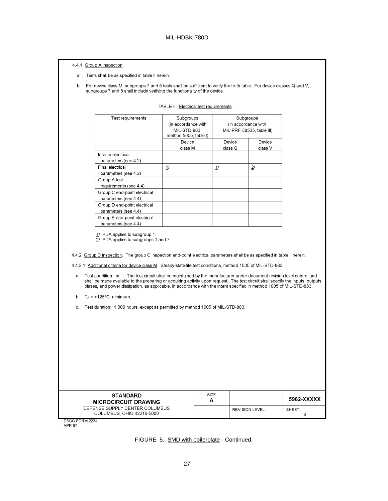|          | subgroups 7 and 8 shall include verifying the functionality of the device.                                                                                                                                                                                                                                                                                                   |                                                                           |                   |                                                               |            |
|----------|------------------------------------------------------------------------------------------------------------------------------------------------------------------------------------------------------------------------------------------------------------------------------------------------------------------------------------------------------------------------------|---------------------------------------------------------------------------|-------------------|---------------------------------------------------------------|------------|
|          |                                                                                                                                                                                                                                                                                                                                                                              | TABLE II. Electrical test requirements.                                   |                   |                                                               |            |
|          | Test requirements                                                                                                                                                                                                                                                                                                                                                            | Subgroups<br>(in accordance with<br>MIL-STD-883.<br>method 5005, table I) |                   | Subgroups<br>(in accordance with<br>MIL-PRF-38535, table III) |            |
|          |                                                                                                                                                                                                                                                                                                                                                                              | Device<br>class M                                                         | Device<br>class Q | Device<br>class V                                             |            |
|          | Interim electrical<br>parameters (see 4.2)                                                                                                                                                                                                                                                                                                                                   |                                                                           |                   |                                                               |            |
|          | Final electrical<br>parameters (see 4.2)                                                                                                                                                                                                                                                                                                                                     | 11                                                                        | 11                | 21                                                            |            |
|          | Group A test<br>requirements (see 4.4)                                                                                                                                                                                                                                                                                                                                       |                                                                           |                   |                                                               |            |
|          | Group C end-point electrical<br>parameters (see 4.4)                                                                                                                                                                                                                                                                                                                         |                                                                           |                   |                                                               |            |
|          | Group D end-point electrical<br>parameters (see 4.4)                                                                                                                                                                                                                                                                                                                         |                                                                           |                   |                                                               |            |
|          | Group E end-point electrical<br>parameters (see 4.4)                                                                                                                                                                                                                                                                                                                         |                                                                           |                   |                                                               |            |
|          | 1/ PDA applies to subgroup 1.<br>2/ PDA applies to subgroups 1 and 7.<br>4.4.2 Group C inspection. The group C inspection end-point electrical parameters shall be as specified in table II herein.                                                                                                                                                                          |                                                                           |                   |                                                               |            |
| a.       | 4.4.2.1 Additional criteria for device class M. Steady-state life test conditions, method 1005 of MIL-STD-883:<br>Test condition or . The test circuit shall be maintained by the manufacturer under document revision level control and<br>shall be made available to the preparing or acquiring activity upon request. The test circuit shall specify the inputs, outputs, |                                                                           |                   |                                                               |            |
|          | biases, and power dissipation, as applicable, in accordance with the intent specified in method 1005 of MIL-STD-883.                                                                                                                                                                                                                                                         |                                                                           |                   |                                                               |            |
| b.<br>C. | $T_A$ = +125°C, minimum.<br>Test duration: 1,000 hours, except as permitted by method 1005 of MIL-STD-883.                                                                                                                                                                                                                                                                   |                                                                           |                   |                                                               |            |
|          |                                                                                                                                                                                                                                                                                                                                                                              |                                                                           |                   |                                                               |            |
|          |                                                                                                                                                                                                                                                                                                                                                                              |                                                                           |                   |                                                               |            |
|          |                                                                                                                                                                                                                                                                                                                                                                              |                                                                           |                   |                                                               |            |
|          | <b>STANDARD</b>                                                                                                                                                                                                                                                                                                                                                              |                                                                           | SIZE<br>A         |                                                               | 5962-XXXXX |

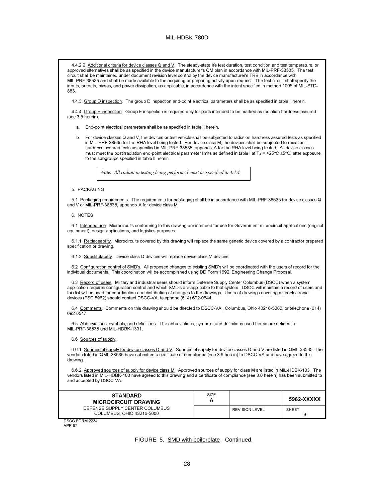4.4.2.2 Additional criteria for device classes Q and V. The steady-state life test duration, test condition and test temperature, or approved alternatives shall be as specified in the device manufacturer's QM plan in accordance with MIL-PRF-38535. The test circuit shall be maintained under document revision level control by the device manufacturer's TRB in accordance with MIL-PRF-38535 and shall be made available to the acquiring or preparing activity upon request. The test circuit shall specify the inputs, outputs, biases, and power dissipation, as applicable, in accordance with the intent specified in method 1005 of MIL-STD-883 4.4.3 Group D inspection. The group D inspection end-point electrical parameters shall be as specified in table II herein. 4.4.4 Group E inspection. Group E inspection is required only for parts intended to be marked as radiation hardness assured (see  $3.5$  herein). a. End-point electrical parameters shall be as specified in table II herein. For device classes Q and V, the devices or test vehicle shall be subjected to radiation hardness assured tests as specified  $h$ in MIL-PRF-38535 for the RHA level being tested. For device class M, the devices shall be subjected to radiation hardness assured tests as specified in MIL-PRF-38535, appendix A for the RHA level being tested. All device classes must meet the postirradiation end-point electrical parameter limits as defined in table I at T<sub>A</sub> = +25°C ±5°C, after exposure, to the subgroups specified in table II herein.

Note: All radiation testing being performed must be specified in 4.4.4.

5. PACKAGING

5.1 Packaging requirements. The requirements for packaging shall be in accordance with MIL-PRF-38535 for device classes Q and V or MIL-PRF-38535, appendix A for device class M.

6. NOTES

6.1 Intended use. Microcircuits conforming to this drawing are intended for use for Government microcircuit applications (original equipment), design applications, and logistics purposes.

6.1.1 Replaceability. Microcircuits covered by this drawing will replace the same generic device covered by a contractor prepared specification or drawing.

6.1.2 Substitutability. Device class Q devices will replace device class M devices.

6.2 Configuration control of SMD's. All proposed changes to existing SMD's will be coordinated with the users of record for the individual documents. This coordination will be accomplished using DD Form 1692, Engineering Change Proposal.

6.3 Record of users. Military and industrial users should inform Defense Supply Center Columbus (DSCC) when a system application requires configuration control and which SMD's are applicable to that system. DSCC will maintain a record of users and this list will be used for coordination and distribution of changes to the drawings. Users of drawings covering microelectronic devices (FSC 5962) should contact DSCC-VA, telephone (614) 692-0544.

6.4 Comments. Comments on this drawing should be directed to DSCC-VA, Columbus, Ohio 43216-5000, or telephone (614) 692-0547.

6.5 Abbreviations, symbols, and definitions. The abbreviations, symbols, and definitions used herein are defined in MIL-PRF-38535 and MIL-HDBK-1331.

6.6 Sources of supply.

6.6.1 Sources of supply for device classes Q and V. Sources of supply for device classes Q and V are listed in QML-38535. The vendors listed in QML-38535 have submitted a certificate of compliance (see 3.6 herein) to DSCC-VA and have agreed to this drawing.

6.6.2 Approved sources of supply for device class M. Approved sources of supply for class M are listed in MIL-HDBK-103. The vendors listed in MIL-HDBK-103 have agreed to this drawing and a certificate of compliance (see 3.6 herein) has been submitted to and accepted by DSCC-VA.

| <b>STANDARD</b><br><b>MICROCIRCUIT DRAWING</b>              | SIZE |                       | 5962-XXXXX   |
|-------------------------------------------------------------|------|-----------------------|--------------|
| DEFENSE SUPPLY CENTER COLUMBUS<br>COLUMBUS, OHIO 43216-5000 |      | <b>REVISION LEVEL</b> | <b>SHEET</b> |
| DSCC FORM 2234                                              |      |                       |              |

**APR 97** 

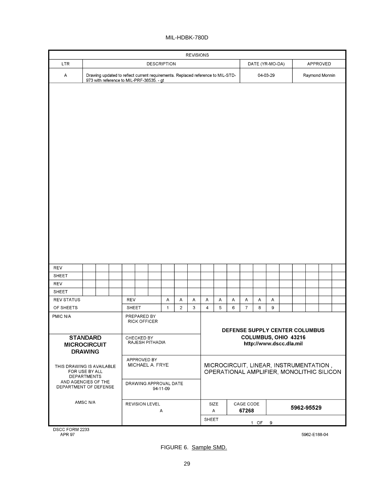| <b>REVISIONS</b>                             |                                                                                                                              |  |  |              |                                    |                       |                                   |   |   |                |           |   |                    |   |                         |                      |                                                                                     |  |  |
|----------------------------------------------|------------------------------------------------------------------------------------------------------------------------------|--|--|--------------|------------------------------------|-----------------------|-----------------------------------|---|---|----------------|-----------|---|--------------------|---|-------------------------|----------------------|-------------------------------------------------------------------------------------|--|--|
| <b>LTR</b>                                   |                                                                                                                              |  |  |              |                                    |                       | <b>DESCRIPTION</b>                |   |   |                |           |   | DATE (YR-MO-DA)    |   |                         | APPROVED             |                                                                                     |  |  |
| Α                                            | Drawing updated to reflect current requirements. Replaced reference to MIL-STD-<br>973 with reference to MIL-PRF-38535. - gt |  |  |              |                                    |                       |                                   |   |   |                |           |   |                    |   | 04-03-29                |                      | Raymond Monnin                                                                      |  |  |
| <b>REV</b>                                   |                                                                                                                              |  |  |              |                                    |                       |                                   |   |   |                |           |   |                    |   |                         |                      |                                                                                     |  |  |
| <b>SHEET</b>                                 |                                                                                                                              |  |  |              |                                    |                       |                                   |   |   |                |           |   |                    |   |                         |                      |                                                                                     |  |  |
| REV                                          |                                                                                                                              |  |  |              |                                    |                       |                                   |   |   |                |           |   |                    |   |                         |                      |                                                                                     |  |  |
| SHEET                                        |                                                                                                                              |  |  |              |                                    |                       |                                   |   |   |                |           |   |                    |   |                         |                      |                                                                                     |  |  |
| <b>REV STATUS</b>                            |                                                                                                                              |  |  | <b>REV</b>   |                                    |                       | А                                 | Α | А | Α              | Α         | Α | А                  | Α | Α                       |                      |                                                                                     |  |  |
| OF SHEETS                                    |                                                                                                                              |  |  | <b>SHEET</b> |                                    |                       | $\mathbf{1}$                      | 2 | 3 | $\overline{4}$ | 5         | 6 | $\overline{7}$     | 8 | 9                       |                      |                                                                                     |  |  |
| PMIC N/A                                     |                                                                                                                              |  |  |              | PREPARED BY<br><b>RICK OFFICER</b> |                       |                                   |   |   |                |           |   |                    |   |                         |                      | DEFENSE SUPPLY CENTER COLUMBUS                                                      |  |  |
| <b>MICROCIRCUIT</b>                          | <b>STANDARD</b><br><b>DRAWING</b>                                                                                            |  |  |              | CHECKED BY                         | RAJESH PITHADIA       |                                   |   |   |                |           |   |                    |   | http://www.dscc.dla.mil | COLUMBUS, OHIO 43216 |                                                                                     |  |  |
| THIS DRAWING IS AVAILABLE                    | FOR USE BY ALL<br>DEPARTMENTS                                                                                                |  |  |              | APPROVED BY                        | MICHAEL A. FRYE       |                                   |   |   |                |           |   |                    |   |                         |                      | MICROCIRCUIT, LINEAR, INSTRUMENTATION,<br>OPERATIONAL AMPLIFIER, MONOLITHIC SILICON |  |  |
| AND AGENCIES OF THE<br>DEPARTMENT OF DEFENSE |                                                                                                                              |  |  |              |                                    |                       | DRAWING APPROVAL DATE<br>94-11-09 |   |   |                |           |   |                    |   |                         |                      |                                                                                     |  |  |
|                                              | AMSC N/A                                                                                                                     |  |  |              |                                    | <b>REVISION LEVEL</b> | Α                                 |   |   |                | SIZE<br>Α |   | CAGE CODE<br>67268 |   |                         |                      | 5962-95529                                                                          |  |  |
| SHEET<br>1 OF 9                              |                                                                                                                              |  |  |              |                                    |                       |                                   |   |   |                |           |   |                    |   |                         |                      |                                                                                     |  |  |

DSCC FORM 2233<br>APR 97

5962-E188-04

FIGURE 6. Sample SMD.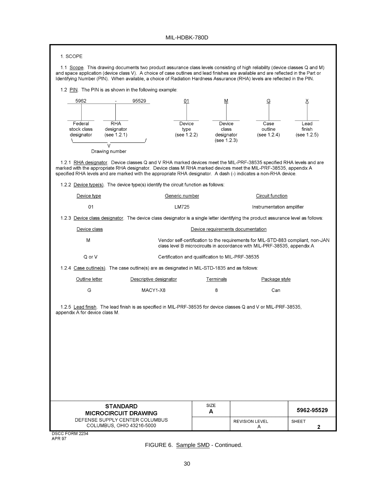| 1. SCOPE                                                                                                                                                                                                                                                                                                                                                                                        |                                                  |                                                                          |                                                                                  |
|-------------------------------------------------------------------------------------------------------------------------------------------------------------------------------------------------------------------------------------------------------------------------------------------------------------------------------------------------------------------------------------------------|--------------------------------------------------|--------------------------------------------------------------------------|----------------------------------------------------------------------------------|
| 1.1 Scope. This drawing documents two product assurance class levels consisting of high reliability (device classes Q and M)<br>and space application (device class V). A choice of case outlines and lead finishes are available and are reflected in the Part or<br>Identifying Number (PIN). When available, a choice of Radiation Hardness Assurance (RHA) levels are reflected in the PIN. |                                                  |                                                                          |                                                                                  |
| 1.2 PIN. The PIN is as shown in the following example:                                                                                                                                                                                                                                                                                                                                          |                                                  |                                                                          |                                                                                  |
| 5962<br>95529                                                                                                                                                                                                                                                                                                                                                                                   | 01                                               | М<br>G                                                                   | Х                                                                                |
|                                                                                                                                                                                                                                                                                                                                                                                                 |                                                  |                                                                          |                                                                                  |
| Federal<br>RHA                                                                                                                                                                                                                                                                                                                                                                                  | Device                                           | Device<br>Case                                                           | Lead                                                                             |
| stock class<br>designator<br>designator<br>(see 1.2.1)                                                                                                                                                                                                                                                                                                                                          | type<br>(see 1.2.2)                              | outline<br>class<br>designator<br>(see 1.2.4)                            | finish<br>(see 1.2.5)                                                            |
| $\mathcal{U}$                                                                                                                                                                                                                                                                                                                                                                                   |                                                  | (see 1.2.3)                                                              |                                                                                  |
| Drawing number                                                                                                                                                                                                                                                                                                                                                                                  |                                                  |                                                                          |                                                                                  |
| 1.2.1 RHA designator. Device classes Q and V RHA marked devices meet the MIL-PRF-38535 specified RHA levels and are<br>marked with the appropriate RHA designator. Device class M RHA marked devices meet the MIL-PRF-38535, appendix A<br>specified RHA levels and are marked with the appropriate RHA designator. A dash (-) indicates a non-RHA device.                                      |                                                  |                                                                          |                                                                                  |
| 1.2.2 Device type(s). The device type(s) identify the circuit function as follows:                                                                                                                                                                                                                                                                                                              |                                                  |                                                                          |                                                                                  |
| Generic number<br>Device type                                                                                                                                                                                                                                                                                                                                                                   |                                                  | Circuit function                                                         |                                                                                  |
| 01<br>LM725                                                                                                                                                                                                                                                                                                                                                                                     |                                                  |                                                                          | Instrumentation amplifier                                                        |
| 1.2.3 Device class designator. The device class designator is a single letter identifying the product assurance level as follows:                                                                                                                                                                                                                                                               |                                                  |                                                                          |                                                                                  |
| Device class                                                                                                                                                                                                                                                                                                                                                                                    |                                                  | Device requirements documentation                                        |                                                                                  |
| M                                                                                                                                                                                                                                                                                                                                                                                               |                                                  | class level B microcircuits in accordance with MIL-PRF-38535, appendix A | Vendor self-certification to the requirements for MIL-STD-883 compliant, non-JAN |
| Q or V                                                                                                                                                                                                                                                                                                                                                                                          | Certification and qualification to MIL-PRF-38535 |                                                                          |                                                                                  |
| 1.2.4 Case outline(s). The case outline(s) are as designated in MIL-STD-1835 and as follows:                                                                                                                                                                                                                                                                                                    |                                                  |                                                                          |                                                                                  |
| Outline letter<br>Descriptive designator                                                                                                                                                                                                                                                                                                                                                        | Terminals                                        |                                                                          | Package style                                                                    |
| G<br>MACY1-X8                                                                                                                                                                                                                                                                                                                                                                                   | 8                                                |                                                                          | Can                                                                              |
| 1.2.5 Lead finish. The lead finish is as specified in MIL-PRF-38535 for device classes Q and V or MIL-PRF-38535,<br>appendix A for device class M.                                                                                                                                                                                                                                              |                                                  |                                                                          |                                                                                  |
| <b>STANDARD</b><br><b>MICROCIRCUIT DRAWING</b>                                                                                                                                                                                                                                                                                                                                                  | SIZE<br>A                                        |                                                                          | 5962-95529                                                                       |
| DEFENSE SUPPLY CENTER COLUMBUS<br>COLUMBUS, OHIO 43216-5000                                                                                                                                                                                                                                                                                                                                     |                                                  | <b>REVISION LEVEL</b><br>A                                               | <b>SHEET</b><br>2                                                                |
| DSCC FORM 2234<br><b>APR 97</b>                                                                                                                                                                                                                                                                                                                                                                 |                                                  |                                                                          |                                                                                  |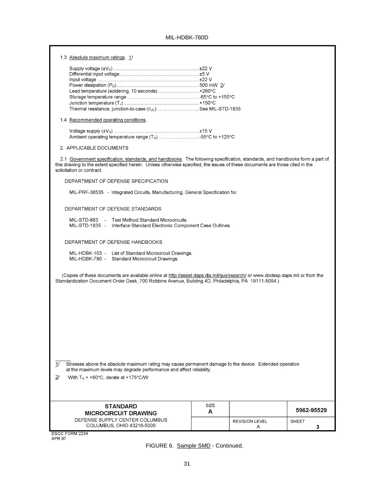÷

| 1.3 Absolute maximum ratings. 1/                                                                                                                                                                                                                                                           |             |                            |            |
|--------------------------------------------------------------------------------------------------------------------------------------------------------------------------------------------------------------------------------------------------------------------------------------------|-------------|----------------------------|------------|
|                                                                                                                                                                                                                                                                                            |             |                            |            |
|                                                                                                                                                                                                                                                                                            |             |                            |            |
|                                                                                                                                                                                                                                                                                            |             |                            |            |
|                                                                                                                                                                                                                                                                                            |             |                            |            |
| Lead temperature (soldering, 10 seconds) +260°C                                                                                                                                                                                                                                            |             |                            |            |
|                                                                                                                                                                                                                                                                                            |             |                            |            |
| Thermal resistance, junction-to-case (0Jc)  See MIL-STD-1835                                                                                                                                                                                                                               |             |                            |            |
|                                                                                                                                                                                                                                                                                            |             |                            |            |
| 1.4 Recommended operating conditions.                                                                                                                                                                                                                                                      |             |                            |            |
|                                                                                                                                                                                                                                                                                            |             |                            |            |
|                                                                                                                                                                                                                                                                                            |             |                            |            |
| 2. APPLICABLE DOCUMENTS                                                                                                                                                                                                                                                                    |             |                            |            |
| 2.1 Government specification, standards, and handbooks. The following specification, standards, and handbooks form a part of<br>this drawing to the extent specified herein. Unless otherwise specified, the issues of these documents are those cited in the<br>solicitation or contract. |             |                            |            |
| DEPARTMENT OF DEFENSE SPECIFICATION                                                                                                                                                                                                                                                        |             |                            |            |
| MIL-PRF-38535 - Integrated Circuits, Manufacturing, General Specification for.                                                                                                                                                                                                             |             |                            |            |
| DEPARTMENT OF DEFENSE STANDARDS                                                                                                                                                                                                                                                            |             |                            |            |
| MIL-STD-883 - Test Method Standard Microcircuits.<br>MIL-STD-1835 - Interface Standard Electronic Component Case Outlines.                                                                                                                                                                 |             |                            |            |
| DEPARTMENT OF DEFENSE HANDBOOKS                                                                                                                                                                                                                                                            |             |                            |            |
| MIL-HDBK-103 - List of Standard Microcircuit Drawings.<br>MIL-HDBK-780 - Standard Microcircuit Drawings.                                                                                                                                                                                   |             |                            |            |
| (Copies of these documents are available online at http://assist.daps.dla.mil/quicksearch/ or www.dodssp.daps.mil or from the<br>Standardization Document Order Desk, 700 Robbins Avenue, Building 4D, Philadelphia, PA 19111-5094.)                                                       |             |                            |            |
|                                                                                                                                                                                                                                                                                            |             |                            |            |
|                                                                                                                                                                                                                                                                                            |             |                            |            |
|                                                                                                                                                                                                                                                                                            |             |                            |            |
|                                                                                                                                                                                                                                                                                            |             |                            |            |
| 11<br>Stresses above the absolute maximum rating may cause permanent damage to the device. Extended operation<br>at the maximum levels may degrade performance and affect reliability.                                                                                                     |             |                            |            |
| 2 <sup>1</sup><br>With $T_A > +60^{\circ}$ C, derate at +175°C/W.                                                                                                                                                                                                                          |             |                            |            |
|                                                                                                                                                                                                                                                                                            |             |                            |            |
| <b>STANDARD</b>                                                                                                                                                                                                                                                                            | <b>SIZE</b> |                            |            |
| <b>MICROCIRCUIT DRAWING</b>                                                                                                                                                                                                                                                                | A           |                            | 5962-95529 |
| DEFENSE SUPPLY CENTER COLUMBUS                                                                                                                                                                                                                                                             |             |                            |            |
| COLUMBUS, OHIO 43216-5000                                                                                                                                                                                                                                                                  |             | <b>REVISION LEVEL</b><br>A | SHEET<br>3 |
| DSCC FORM 2234                                                                                                                                                                                                                                                                             |             |                            |            |
| <b>APR 97</b>                                                                                                                                                                                                                                                                              |             |                            |            |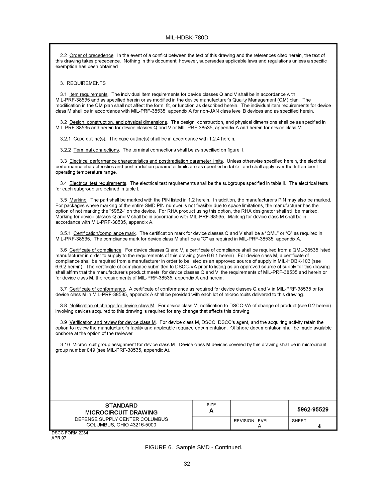2.2 Order of precedence. In the event of a conflict between the text of this drawing and the references cited herein, the text of this drawing takes precedence. Nothing in this document, however, supersedes applicable laws and regulations unless a specific exemption has been obtained

3. REQUIREMENTS

3.1 Item requirements. The individual item requirements for device classes Q and V shall be in accordance with MIL-PRF-38535 and as specified herein or as modified in the device manufacturer's Quality Management (QM) plan. The modification in the QM plan shall not affect the form, fit, or function as described herein. The individual item requirements for device class M shall be in accordance with MIL-PRF-38535, appendix A for non-JAN class level B devices and as specified herein.

3.2 Design, construction, and physical dimensions. The design, construction, and physical dimensions shall be as specified in MIL-PRF-38535 and herein for device classes Q and V or MIL-PRF-38535, appendix A and herein for device class M.

3.2.1 Case outline(s). The case outline(s) shall be in accordance with 1.2.4 herein.

3.2.2 Terminal connections. The terminal connections shall be as specified on figure 1.

3.3 Electrical performance characteristics and postirradiation parameter limits. Unless otherwise specified herein, the electrical performance characteristics and postirradiation parameter limits are as specified in table I and shall apply over the full ambient operating temperature range.

3.4 Electrical test requirements. The electrical test requirements shall be the subgroups specified in table II. The electrical tests for each subgroup are defined in table I.

3.5 Marking. The part shall be marked with the PIN listed in 1.2 herein. In addition, the manufacturer's PIN may also be marked. For packages where marking of the entire SMD PIN number is not feasible due to space limitations, the manufacturer has the option of not marking the "5962-" on the device. For RHA product using this option, the RHA designator shall still be marked. Marking for device classes Q and V shall be in accordance with MIL-PRF-38535. Marking for device class M shall be in accordance with MIL-PRF-38535, appendix A.

3.5.1 Certification/compliance mark. The certification mark for device classes Q and V shall be a "QML" or "Q" as required in MIL-PRF-38535. The compliance mark for device class M shall be a "C" as required in MIL-PRF-38535, appendix A.

3.6 Certificate of compliance. For device classes Q and V, a certificate of compliance shall be required from a QML-38535 listed manufacturer in order to supply to the requirements of this drawing (see 6.6.1 herein). For device class M, a certificate of compliance shall be required from a manufacturer in order to be listed as an approved source of supply in MIL-HDBK-103 (see 6.6.2 herein). The certificate of compliance submitted to DSCC-VA prior to listing as an approved source of supply for this drawing shall affirm that the manufacturer's product meets, for device classes Q and V, the requirements of MIL-PRF-38535 and herein or for device class M, the requirements of MIL-PRF-38535, appendix A and herein.

3.7 Certificate of conformance. A certificate of conformance as required for device classes Q and V in MIL-PRF-38535 or for device class M in MIL-PRF-38535, appendix A shall be provided with each lot of microcircuits delivered to this drawing.

3.8 Notification of change for device class M. For device class M, notification to DSCC-VA of change of product (see 6.2 herein) involving devices acquired to this drawing is required for any change that affects this drawing.

3.9 Verification and review for device class M. For device class M, DSCC, DSCC's agent, and the acquiring activity retain the option to review the manufacturer's facility and applicable required documentation. Offshore documentation shall be made available onshore at the option of the reviewer.

3.10 Microcircuit group assignment for device class M. Device class M devices covered by this drawing shall be in microcircuit group number 049 (see MIL-PRF-38535, appendix A).

| <b>STANDARD</b><br><b>MICROCIRCUIT DRAWING</b>              | SIZE<br>Α |                       | 5962-95529 |
|-------------------------------------------------------------|-----------|-----------------------|------------|
| DEFENSE SUPPLY CENTER COLUMBUS<br>COLUMBUS, OHIO 43216-5000 |           | <b>REVISION LEVEL</b> | SHEET      |

DSCC FORM 2234 **APR 97**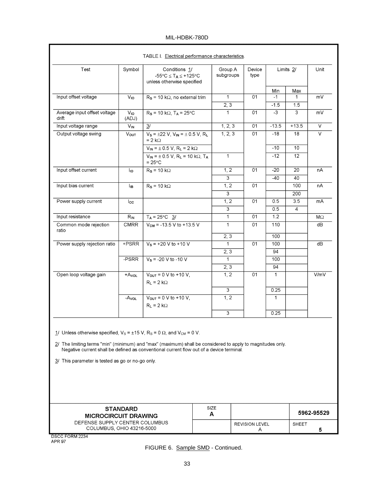| TABLE I. Electrical performance characteristics.                                                                                                                                                                                                                                                                                                      |                          |                                                                                                    |           |                      |                       |                  |                     |            |
|-------------------------------------------------------------------------------------------------------------------------------------------------------------------------------------------------------------------------------------------------------------------------------------------------------------------------------------------------------|--------------------------|----------------------------------------------------------------------------------------------------|-----------|----------------------|-----------------------|------------------|---------------------|------------|
| Test                                                                                                                                                                                                                                                                                                                                                  | Symbol                   | Conditions 1/<br>$-55^{\circ}$ C $\leq$ T <sub>A</sub> $\leq$ +125°C<br>unless otherwise specified |           | Group A<br>subgroups | Device<br>type        |                  | Limits 2/           | Unit       |
|                                                                                                                                                                                                                                                                                                                                                       |                          |                                                                                                    |           |                      |                       | Min              | Max                 |            |
| Input offset voltage                                                                                                                                                                                                                                                                                                                                  | V <sub>IO</sub>          | $R_s$ = 10 k $\Omega$ , no external trim                                                           |           | $\mathbf{1}$<br>2, 3 | 01                    | $-1$<br>$-1.5$   | $\mathbf{1}$<br>1.5 | mV         |
| Average input offset voltage<br>drift                                                                                                                                                                                                                                                                                                                 | V <sub>IO</sub><br>(ADJ) | $R_s$ = 10 kΩ, T <sub>A</sub> = 25°C                                                               |           | $\mathbf 1$          | 01                    | $-3$             | 3                   | mV         |
| Input voltage range                                                                                                                                                                                                                                                                                                                                   | $\overline{V}_{IN}$      | 3/                                                                                                 |           | 1, 2, 3              | 01                    | $-13.5$          | $+13.5$             | $\vee$     |
| Output voltage swing                                                                                                                                                                                                                                                                                                                                  | Vout                     | $V_s = \pm 22$ V, $V_{IN} = \pm 0.5$ V, RL<br>$= 2 k\Omega$                                        |           | 1, 2, 3              | 01                    | $-18$            | 18                  | V          |
|                                                                                                                                                                                                                                                                                                                                                       |                          | $V_{IN} = \pm 0.5 V$ , R <sub>L</sub> = 2 kΩ                                                       |           |                      |                       | $-10$            | 10                  |            |
|                                                                                                                                                                                                                                                                                                                                                       |                          | $V_{IN} = \pm 0.5 V$ , R <sub>L</sub> = 10 kΩ, T <sub>A</sub><br>$= 25^{\circ}$ C                  |           | $\mathbf 1$          |                       | $-12$            | 12                  |            |
| Input offset current                                                                                                                                                                                                                                                                                                                                  | Ιю                       | $R_s = 10 k\Omega$                                                                                 |           | 1, 2                 | 01                    | $-20$            | 20                  | nA         |
|                                                                                                                                                                                                                                                                                                                                                       |                          |                                                                                                    |           | 3                    |                       | -40              | 40                  |            |
| Input bias current                                                                                                                                                                                                                                                                                                                                    | ŀв                       | $R_s = 10 k\Omega$                                                                                 |           | 1, 2                 | 01                    |                  | 100                 | nA         |
|                                                                                                                                                                                                                                                                                                                                                       |                          |                                                                                                    |           | 3                    |                       |                  | 200                 |            |
| Power supply current                                                                                                                                                                                                                                                                                                                                  | lcc                      |                                                                                                    |           | 1, 2                 | 01                    | 0.5              | 3.5                 | mA         |
|                                                                                                                                                                                                                                                                                                                                                       |                          |                                                                                                    |           | 3                    |                       | 0.5              | 4                   |            |
| Input resistance                                                                                                                                                                                                                                                                                                                                      | $R_{IN}$                 | $T_A = 25^{\circ}C$ 3/                                                                             |           | $\mathbf{1}$         | 01                    | 1.2              |                     | MΩ         |
| Common mode rejection                                                                                                                                                                                                                                                                                                                                 | <b>CMRR</b>              | $V_{CM}$ = -13.5 V to +13.5 V                                                                      |           | $\mathbf{1}$         | 01                    | $\overline{110}$ |                     | dB         |
| ratio                                                                                                                                                                                                                                                                                                                                                 |                          |                                                                                                    |           | 2, 3                 |                       | 100              |                     |            |
| Power supply rejection ratio                                                                                                                                                                                                                                                                                                                          | +PSRR                    | $V_s = +20 V to +10 V$                                                                             |           | $\mathbf 1$          | 01                    | 100              |                     | dB         |
|                                                                                                                                                                                                                                                                                                                                                       |                          |                                                                                                    |           | 2, 3                 |                       | 94               |                     |            |
|                                                                                                                                                                                                                                                                                                                                                       | -PSRR                    | $V_s = -20 V to -10 V$                                                                             |           | $\mathbf{1}$         |                       | 100              |                     |            |
|                                                                                                                                                                                                                                                                                                                                                       |                          |                                                                                                    |           | 2, 3                 |                       | 94               |                     |            |
| Open loop voltage gain                                                                                                                                                                                                                                                                                                                                | $+A$ <sub>VOL</sub>      | $V_{OUT} = 0 V to + 10 V,$<br>$R_L = 2 k\Omega$                                                    |           | 1, 2                 | 01                    | $\mathbf{1}$     |                     | V/mV       |
|                                                                                                                                                                                                                                                                                                                                                       |                          |                                                                                                    |           | 3                    |                       | 0.25             |                     |            |
|                                                                                                                                                                                                                                                                                                                                                       | -Avol                    | $V_{OUT} = 0 V to + 10 V,$<br>$R_L = 2 k\Omega$                                                    |           | 1, 2                 |                       | $\mathbf{1}$     |                     |            |
|                                                                                                                                                                                                                                                                                                                                                       |                          |                                                                                                    |           | 3                    |                       | 0.25             |                     |            |
| 1/ Unless otherwise specified, $V_S = \pm 15$ V, $R_S = 0 \Omega$ , and $V_{CM} = 0$ V.<br>2/ The limiting terms "min" (minimum) and "max" (maximum) shall be considered to apply to magnitudes only.<br>Negative current shall be defined as conventional current flow out of a device terminal.<br>3/ This parameter is tested as go or no-go only. |                          |                                                                                                    |           |                      |                       |                  |                     |            |
| <b>MICROCIRCUIT DRAWING</b>                                                                                                                                                                                                                                                                                                                           | <b>STANDARD</b>          |                                                                                                    | SIZE<br>А |                      |                       |                  |                     | 5962-95529 |
| DEFENSE SUPPLY CENTER COLUMBUS                                                                                                                                                                                                                                                                                                                        |                          |                                                                                                    |           |                      | <b>REVISION LEVEL</b> |                  | <b>SHEET</b>        |            |
| COLUMBUS, OHIO 43216-5000                                                                                                                                                                                                                                                                                                                             |                          |                                                                                                    |           |                      | A                     |                  |                     | 5          |

DSCC FORM 2234<br>APR 97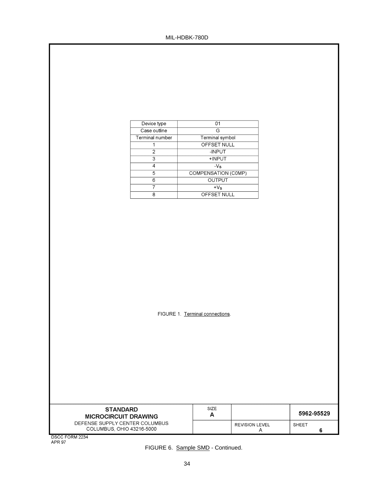| Device type            | 01                  |  |  |
|------------------------|---------------------|--|--|
| Case outline           | G                   |  |  |
| <b>Terminal number</b> | Terminal symbol     |  |  |
|                        | OFFSET NULL         |  |  |
| 2                      | -INPUT              |  |  |
| 3                      | +INPUT              |  |  |
|                        | $-Vs$               |  |  |
| 5                      | COMPENSATION (COMP) |  |  |
| ิค                     | OUTPUT              |  |  |
|                        | $+V_s$              |  |  |
| я                      | OFFSET NULL         |  |  |
|                        |                     |  |  |

FIGURE 1. Terminal connections.

| <b>STANDARD</b><br><b>MICROCIRCUIT DRAWING</b>              | <b>SIZE</b><br>А |                       | 5962-95529 |
|-------------------------------------------------------------|------------------|-----------------------|------------|
| DEFENSE SUPPLY CENTER COLUMBUS<br>COLUMBUS, OHIO 43216-5000 |                  | <b>REVISION LEVEL</b> | SHEET      |

DSCC FORM 2234<br>APR 97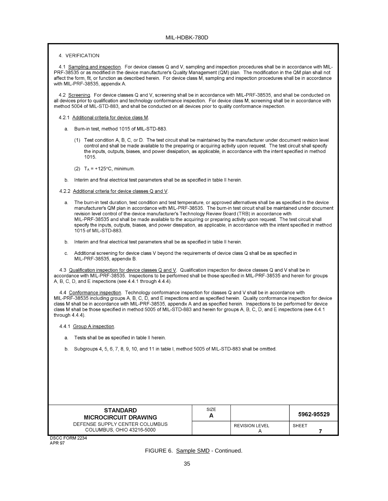#### 4. VERIFICATION

4.1 Sampling and inspection. For device classes Q and V, sampling and inspection procedures shall be in accordance with MIL-PRF-38535 or as modified in the device manufacturer's Quality Management (QM) plan. The modification in the QM plan shall not affect the form, fit, or function as described herein. For device class M, sampling and inspection procedures shall be in accordance with MIL-PRF-38535, appendix A.

4.2 Screening. For device classes Q and V, screening shall be in accordance with MIL-PRF-38535, and shall be conducted on all devices prior to qualification and technology conformance inspection. For device class M, screening shall be in accordance with method 5004 of MIL-STD-883, and shall be conducted on all devices prior to quality conformance inspection.

#### 4.2.1 Additional criteria for device class M.

- a. Burn-in test, method 1015 of MIL-STD-883.
	- (1) Test condition A, B, C, or D. The test circuit shall be maintained by the manufacturer under document revision level control and shall be made available to the preparing or acquiring activity upon request. The test circuit shall specify the inputs, outputs, biases, and power dissipation, as applicable, in accordance with the intent specified in method 1015.
	- $(2)$  T<sub>A</sub> = +125°C, minimum.
- b. Interim and final electrical test parameters shall be as specified in table II herein.
- 4.2.2 Additional criteria for device classes Q and V.
	- a. The burn-in test duration, test condition and test temperature, or approved alternatives shall be as specified in the device manufacturer's QM plan in accordance with MIL-PRF-38535. The burn-in test circuit shall be maintained under document revision level control of the device manufacturer's Technology Review Board (TRB) in accordance with MIL-PRF-38535 and shall be made available to the acquiring or preparing activity upon request. The test circuit shall specify the inputs, outputs, biases, and power dissipation, as applicable, in accordance with the intent specified in method 1015 of MIL-STD-883.
	- b. Interim and final electrical test parameters shall be as specified in table II herein.
	- Additional screening for device class V beyond the requirements of device class Q shall be as specified in C. MIL-PRF-38535, appendix B.

4.3 Qualification inspection for device classes Q and V. Qualification inspection for device classes Q and V shall be in accordance with MIL-PRF-38535. Inspections to be performed shall be those specified in MIL-PRF-38535 and herein for groups A, B, C, D, and E inspections (see 4.4.1 through 4.4.4).

4.4 Conformance inspection. Technology conformance inspection for classes Q and V shall be in accordance with MIL-PRF-38535 including groups A, B, C, D, and E inspections and as specified herein. Quality conformance inspection for device class M shall be in accordance with MIL-PRF-38535, appendix A and as specified herein. Inspections to be performed for device class M shall be those specified in method 5005 of MIL-STD-883 and herein for groups A, B, C, D, and E inspections (see 4.4.1 through  $4.4.4$ ).

- 4.4.1 Group A inspection.
	- a. Tests shall be as specified in table II herein.
	- b. Subgroups 4, 5, 6, 7, 8, 9, 10, and 11 in table I, method 5005 of MIL-STD-883 shall be omitted.

| <b>STANDARD</b><br><b>MICROCIRCUIT DRAWING</b>              | SIZE<br>А |                       | 5962-95529 |
|-------------------------------------------------------------|-----------|-----------------------|------------|
| DEFENSE SUPPLY CENTER COLUMBUS<br>COLUMBUS, OHIO 43216-5000 |           | <b>REVISION LEVEL</b> | SHEET      |

DSCC FORM 2234 **APR 97**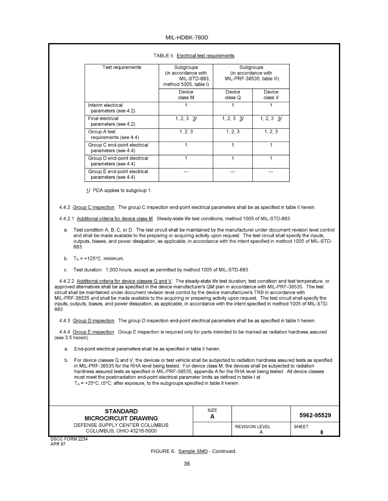| Test requirements                                    | Subgroups<br>(in accordance with<br>MIL-STD-883.<br>method 5005, table I) | Subgroups<br>(in accordance with<br>MIL-PRF-38535, table III) |                   |
|------------------------------------------------------|---------------------------------------------------------------------------|---------------------------------------------------------------|-------------------|
|                                                      | Device<br>class M                                                         | Device<br>class Q                                             | Device<br>class V |
| Interim electrical<br>parameters (see 4.2)           |                                                                           |                                                               |                   |
| Final electrical<br>parameters (see 4.2)             | 1, 2, 3, 3/                                                               | 1, 2, 3, 3/                                                   | 1, 2, 3, 3/       |
| Group A test<br>requirements (see 4.4)               | 1, 2, 3                                                                   | 1, 2, 3                                                       | 1, 2, 3           |
| Group C end-point electrical<br>parameters (see 4.4) |                                                                           |                                                               |                   |
| Group D end-point electrical<br>parameters (see 4.4) |                                                                           | 1                                                             |                   |
| Group E end-point electrical<br>parameters (see 4.4) |                                                                           |                                                               |                   |

#### TABLE II. Electrical test requirements.

1/ PDA applies to subgroup 1.

4.4.2 Group C inspection. The group C inspection end-point electrical parameters shall be as specified in table II herein.

- 4.4.2.1 Additional criteria for device class M. Steady-state life test conditions, method 1005 of MIL-STD-883:
	- a. Test condition A, B, C, or D. The test circuit shall be maintained by the manufacturer under document revision level control and shall be made available to the preparing or acquiring activity upon request. The test circuit shall specify the inputs, outputs, biases, and power dissipation, as applicable, in accordance with the intent specified in method 1005 of MIL-STD-883
	- b.  $T_A = +125^{\circ}C$ , minimum.
	- c. Test duration: 1,000 hours, except as permitted by method 1005 of MIL-STD-883.

4.4.2.2 Additional criteria for device classes Q and V. The steady-state life test duration, test condition and test temperature, or approved alternatives shall be as specified in the device manufacturer's QM plan in accordance with MIL-PRF-38535. The test circuit shall be maintained under document revision level control by the device manufacturer's TRB in accordance with MIL-PRF-38535 and shall be made available to the acquiring or preparing activity upon request. The test circuit shall specify the inputs, outputs, biases, and power dissipation, as applicable, in accordance with the intent specified in method 1005 of MIL-STD-883.

4.4.3 Group D inspection. The group D inspection end-point electrical parameters shall be as specified in table II herein.

4.4.4 Group E inspection. Group E inspection is required only for parts intended to be marked as radiation hardness assured  $(see 3.5  $herein$ ).$ 

a. End-point electrical parameters shall be as specified in table II herein.

For device classes Q and V, the devices or test vehicle shall be subjected to radiation hardness assured tests as specified  $b$ in MIL-PRF-38535 for the RHA level being tested. For device class M, the devices shall be subjected to radiation hardness assured tests as specified in MIL-PRF-38535, appendix A for the RHA level being tested. All device classes must meet the postirradiation end-point electrical parameter limits as defined in table I at  $T_A$  = +25°C ±5°C, after exposure, to the subgroups specified in table II herein.

| <b>STANDARD</b><br><b>MICROCIRCUIT DRAWING</b>              | SIZE<br>А |                       | 5962-95529 |
|-------------------------------------------------------------|-----------|-----------------------|------------|
| DEFENSE SUPPLY CENTER COLUMBUS<br>COLUMBUS, OHIO 43216-5000 |           | <b>REVISION LEVEL</b> | SHEET      |

DSCC FORM 2234 APR 97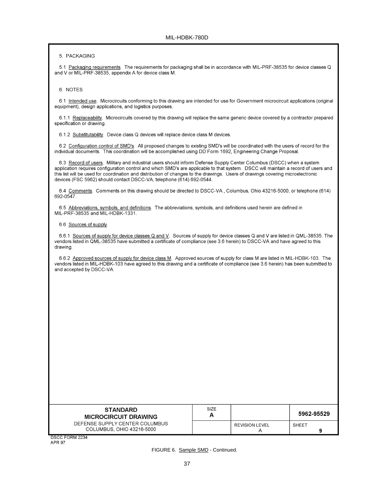5. PACKAGING

5.1 Packaging requirements. The requirements for packaging shall be in accordance with MIL-PRF-38535 for device classes Q and V or MIL-PRF-38535, appendix A for device class M.

6. NOTES

6.1 Intended use. Microcircuits conforming to this drawing are intended for use for Government microcircuit applications (original equipment), design applications, and logistics purposes.

6.1.1 Replaceability. Microcircuits covered by this drawing will replace the same generic device covered by a contractor prepared specification or drawing.

6.1.2 Substitutability. Device class Q devices will replace device class M devices.

6.2 Configuration control of SMD's. All proposed changes to existing SMD's will be coordinated with the users of record for the individual documents. This coordination will be accomplished using DD Form 1692, Engineering Change Proposal.

6.3 Record of users. Military and industrial users should inform Defense Supply Center Columbus (DSCC) when a system application requires configuration control and which SMD's are applicable to that system. DSCC will maintain a record of users and this list will be used for coordination and distribution of changes to the drawings. Users of drawings covering microelectronic devices (FSC 5962) should contact DSCC-VA, telephone (614) 692-0544.

6.4 Comments. Comments on this drawing should be directed to DSCC-VA, Columbus, Ohio 43216-5000, or telephone (614) 692-0547.

6.5 Abbreviations, symbols, and definitions. The abbreviations, symbols, and definitions used herein are defined in MIL-PRF-38535 and MIL-HDBK-1331.

6.6 Sources of supply.

6.6.1 Sources of supply for device classes Q and V. Sources of supply for device classes Q and V are listed in QML-38535. The vendors listed in QML-38535 have submitted a certificate of compliance (see 3.6 herein) to DSCC-VA and have agreed to this drawing.

6.6.2 Approved sources of supply for device class M. Approved sources of supply for class M are listed in MIL-HDBK-103. The vendors listed in MIL-HDBK-103 have agreed to this drawing and a certificate of compliance (see 3.6 herein) has been submitted to and accepted by DSCC-VA.

| <b>STANDARD</b><br><b>MICROCIRCUIT DRAWING</b>              | <b>SIZE</b><br>А |                       | 5962-95529 |
|-------------------------------------------------------------|------------------|-----------------------|------------|
| DEFENSE SUPPLY CENTER COLUMBUS<br>COLUMBUS, OHIO 43216-5000 |                  | <b>REVISION LEVEL</b> | SHEET      |

DSCC FORM 2234 APR 97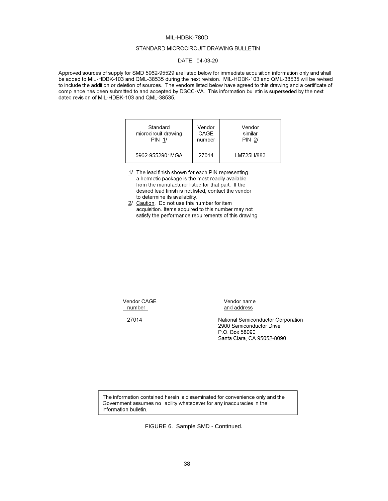## STANDARD MICROCIRCUIT DRAWING BULLETIN

## DATE: 04-03-29

Approved sources of supply for SMD 5962-95529 are listed below for immediate acquisition information only and shall be added to MIL-HDBK-103 and QML-38535 during the next revision. MIL-HDBK-103 and QML-38535 will be revised to include the addition or deletion of sources. The vendors listed below have agreed to this drawing and a certificate of compliance has been submitted to and accepted by DSCC-VA. This information bulletin is superseded by the next dated revision of MIL-HDBK-103 and QML-38535.

| Standard             | Vendor | Vendor        |
|----------------------|--------|---------------|
| microcircuit drawing | CAGE   | similar       |
| <b>PIN 1/</b>        | number | <b>PIN 2/</b> |
| 5962-9552901MGA      | 27014  | LM725H/883    |

- 1/ The lead finish shown for each PIN representing a hermetic package is the most readily available from the manufacturer listed for that part. If the desired lead finish is not listed, contact the vendor to determine its availability.
- 2/ Caution. Do not use this number for item acquisition. Items acquired to this number may not satisfy the performance requirements of this drawing.

Vendor CAGE number

Vendor name and address

27014

National Semiconductor Corporation 2900 Semiconductor Drive P.O. Box 58090 Santa Clara, CA 95052-8090

The information contained herein is disseminated for convenience only and the Government assumes no liability whatsoever for any inaccuracies in the information bulletin.